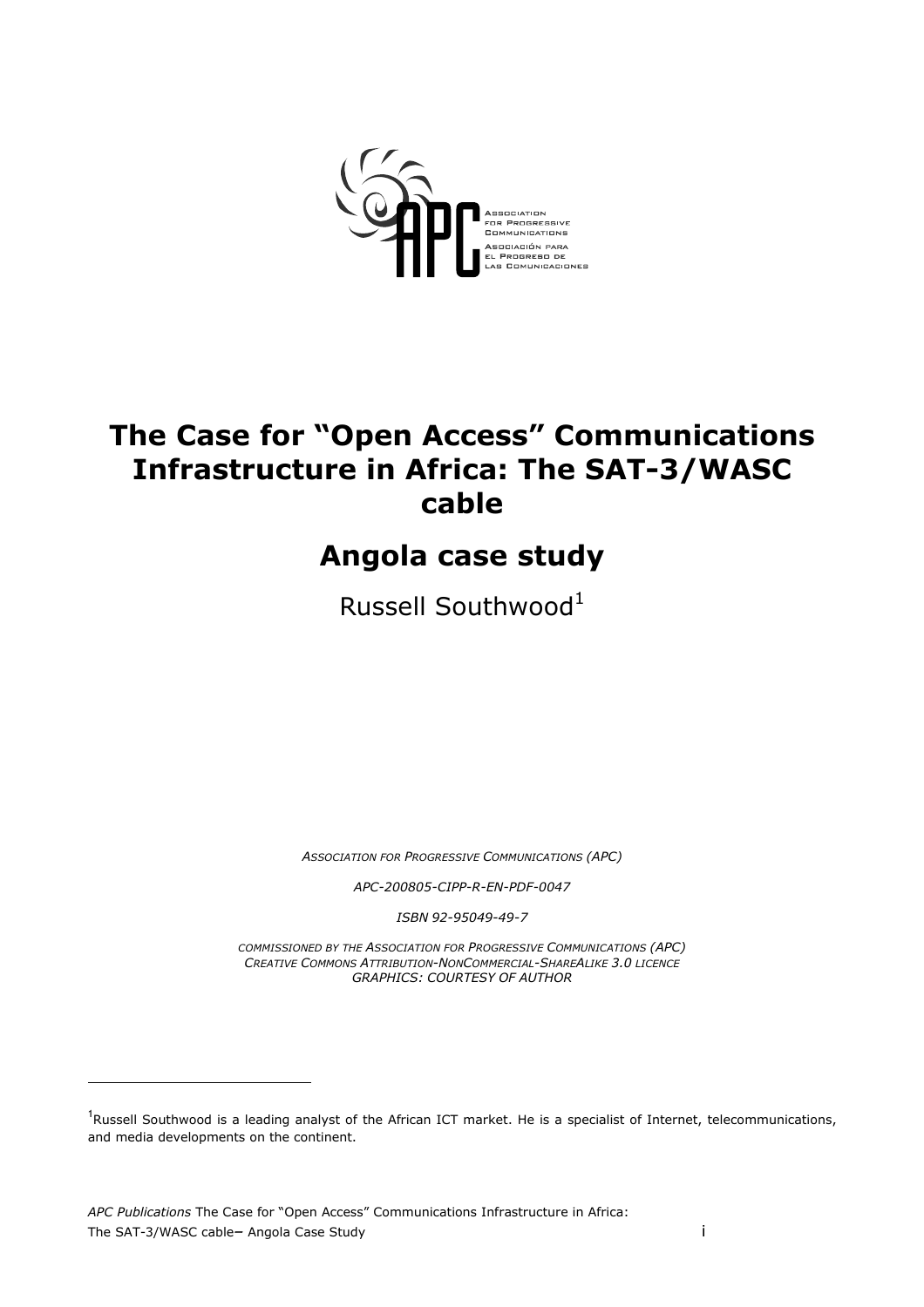

# The Case for "Open Access" Communications Infrastructure in Africa: The SAT-3/WASC cable

# Angola case study

Russell Southwood $1$ 

ASSOCIATION FOR PROGRESSIVE COMMUNICATIONS (APC)

APC-200805-CIPP-R-EN-PDF-0047

ISBN 92-95049-49-7

COMMISSIONED BY THE ASSOCIATION FOR PROGRESSIVE COMMUNICATIONS (APC) CREATIVE COMMONS ATTRIBUTION-NONCOMMERCIAL-SHAREALIKE 3.0 LICENCE GRAPHICS: COURTESY OF AUTHOR

 $\overline{a}$ 

<sup>&</sup>lt;sup>1</sup>Russell Southwood is a leading analyst of the African ICT market. He is a specialist of Internet, telecommunications, and media developments on the continent.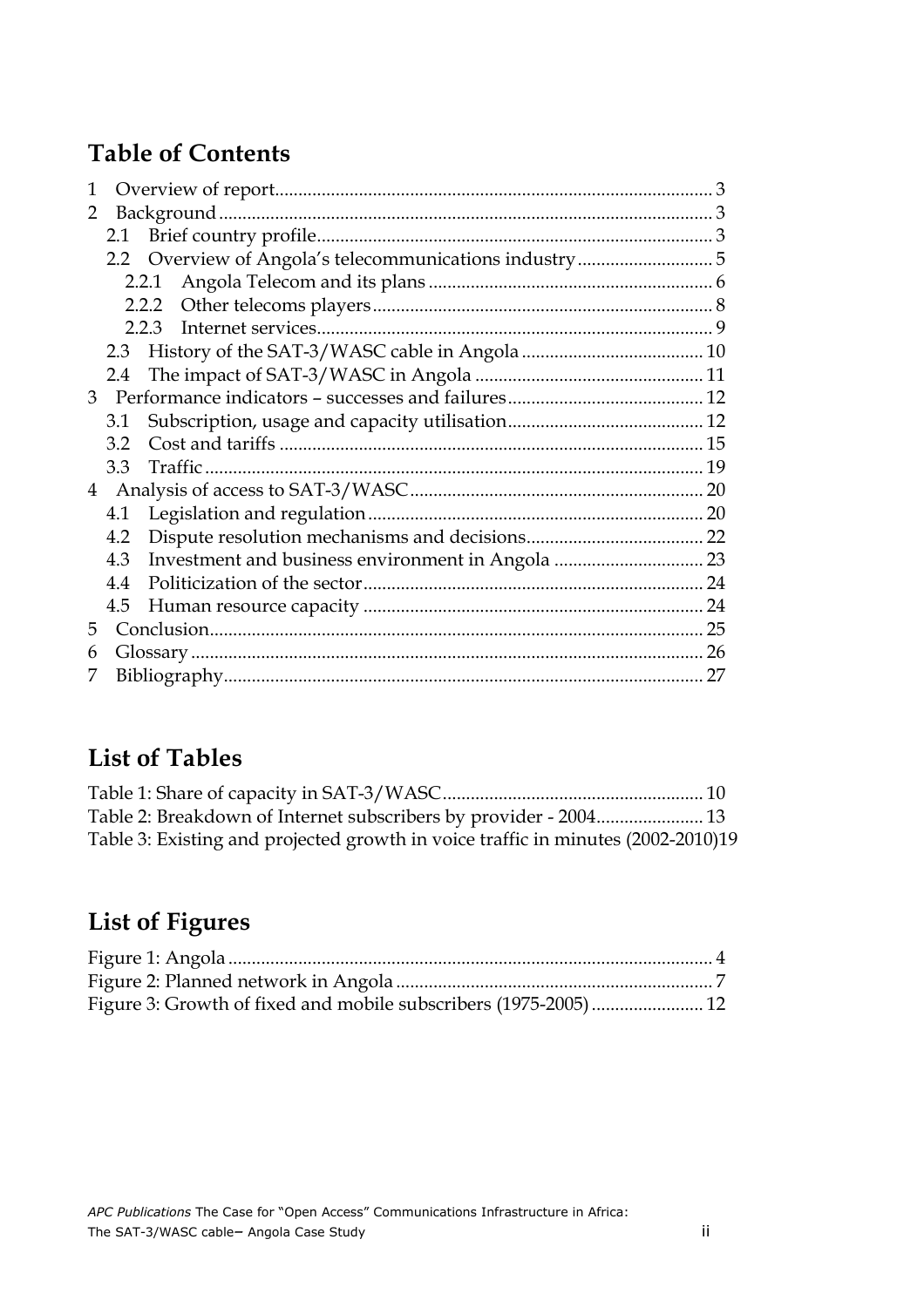# Table of Contents

| 1              |     |                                                   |  |
|----------------|-----|---------------------------------------------------|--|
| 2              |     |                                                   |  |
|                |     |                                                   |  |
|                |     |                                                   |  |
|                |     |                                                   |  |
|                |     |                                                   |  |
|                |     | 223                                               |  |
|                | 2.3 |                                                   |  |
|                | 2.4 |                                                   |  |
|                |     |                                                   |  |
|                | 3.1 |                                                   |  |
|                | 32  |                                                   |  |
|                | 33  |                                                   |  |
| $\overline{4}$ |     |                                                   |  |
|                | 4.1 |                                                   |  |
|                | 4.2 |                                                   |  |
|                | 4.3 | Investment and business environment in Angola  23 |  |
|                | 4.4 |                                                   |  |
|                | 4.5 |                                                   |  |
| 5              |     |                                                   |  |
| 6              |     |                                                   |  |
| 7              |     |                                                   |  |
|                |     |                                                   |  |

# List of Tables

| Table 3: Existing and projected growth in voice traffic in minutes (2002-2010)19 |  |
|----------------------------------------------------------------------------------|--|

# List of Figures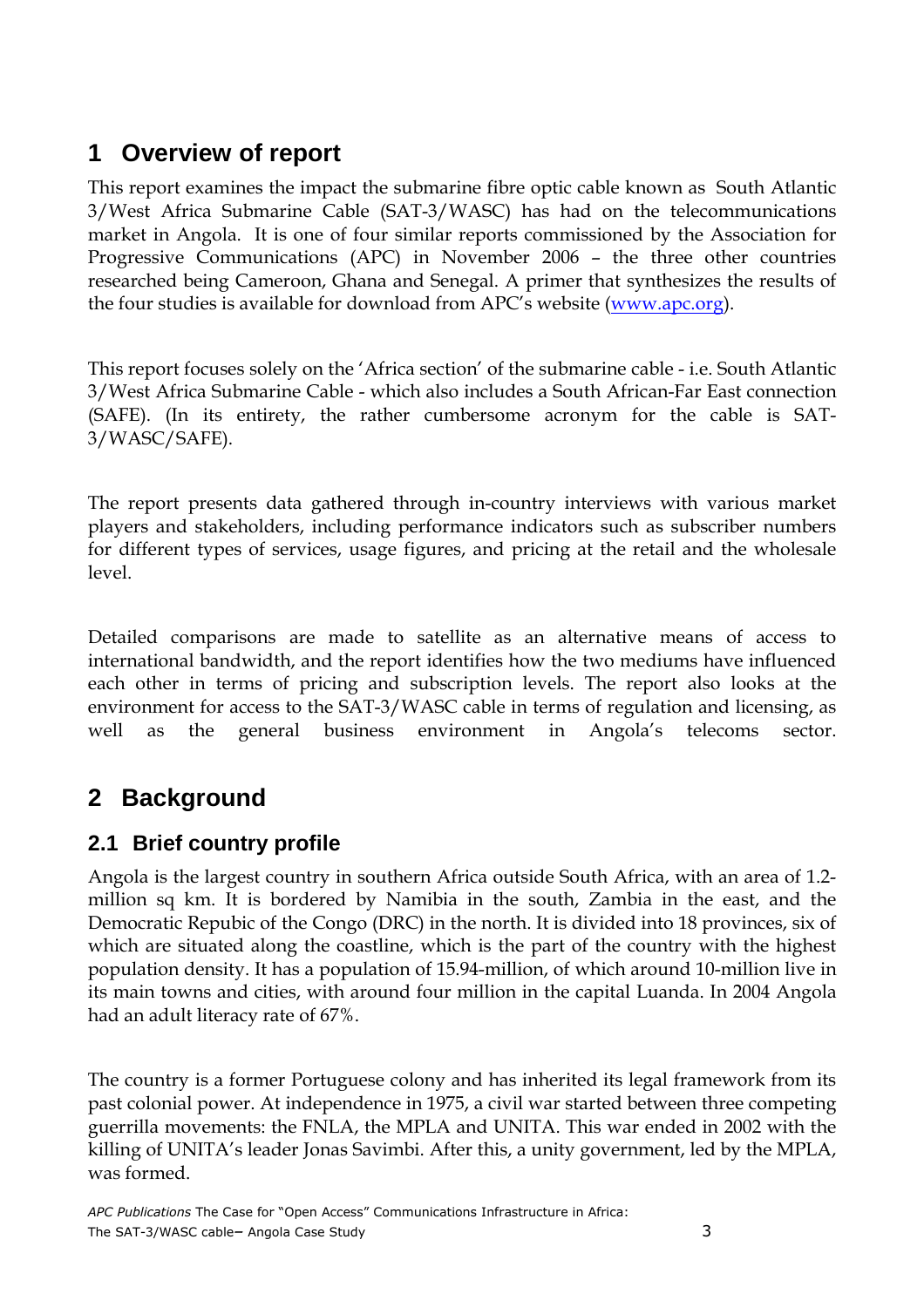# **1 Overview of report**

This report examines the impact the submarine fibre optic cable known as South Atlantic 3/West Africa Submarine Cable (SAT-3/WASC) has had on the telecommunications market in Angola. It is one of four similar reports commissioned by the Association for Progressive Communications (APC) in November 2006 – the three other countries researched being Cameroon, Ghana and Senegal. A primer that synthesizes the results of the four studies is available for download from APC's website (www.apc.org).

This report focuses solely on the 'Africa section' of the submarine cable - i.e. South Atlantic 3/West Africa Submarine Cable - which also includes a South African-Far East connection (SAFE). (In its entirety, the rather cumbersome acronym for the cable is SAT-3/WASC/SAFE).

The report presents data gathered through in-country interviews with various market players and stakeholders, including performance indicators such as subscriber numbers for different types of services, usage figures, and pricing at the retail and the wholesale level.

Detailed comparisons are made to satellite as an alternative means of access to international bandwidth, and the report identifies how the two mediums have influenced each other in terms of pricing and subscription levels. The report also looks at the environment for access to the SAT-3/WASC cable in terms of regulation and licensing, as well as the general business environment in Angola's telecoms sector.

# **2 Background**

## **2.1 Brief country profile**

Angola is the largest country in southern Africa outside South Africa, with an area of 1.2 million sq km. It is bordered by Namibia in the south, Zambia in the east, and the Democratic Repubic of the Congo (DRC) in the north. It is divided into 18 provinces, six of which are situated along the coastline, which is the part of the country with the highest population density. It has a population of 15.94-million, of which around 10-million live in its main towns and cities, with around four million in the capital Luanda. In 2004 Angola had an adult literacy rate of 67%.

The country is a former Portuguese colony and has inherited its legal framework from its past colonial power. At independence in 1975, a civil war started between three competing guerrilla movements: the FNLA, the MPLA and UNITA. This war ended in 2002 with the killing of UNITA's leader Jonas Savimbi. After this, a unity government, led by the MPLA, was formed.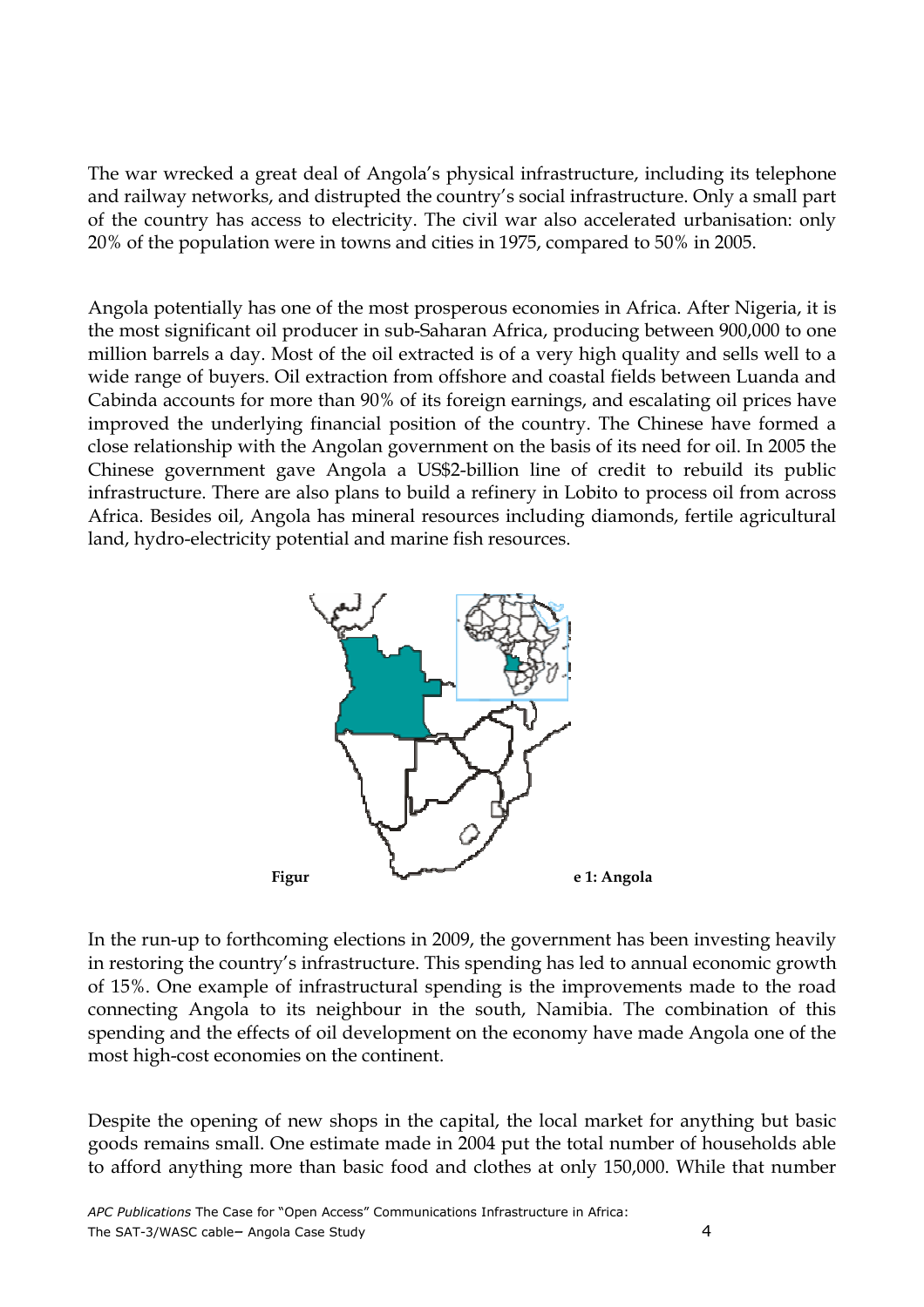The war wrecked a great deal of Angola's physical infrastructure, including its telephone and railway networks, and distrupted the country's social infrastructure. Only a small part of the country has access to electricity. The civil war also accelerated urbanisation: only 20% of the population were in towns and cities in 1975, compared to 50% in 2005.

Angola potentially has one of the most prosperous economies in Africa. After Nigeria, it is the most significant oil producer in sub-Saharan Africa, producing between 900,000 to one million barrels a day. Most of the oil extracted is of a very high quality and sells well to a wide range of buyers. Oil extraction from offshore and coastal fields between Luanda and Cabinda accounts for more than 90% of its foreign earnings, and escalating oil prices have improved the underlying financial position of the country. The Chinese have formed a close relationship with the Angolan government on the basis of its need for oil. In 2005 the Chinese government gave Angola a US\$2-billion line of credit to rebuild its public infrastructure. There are also plans to build a refinery in Lobito to process oil from across Africa. Besides oil, Angola has mineral resources including diamonds, fertile agricultural land, hydro-electricity potential and marine fish resources.



In the run-up to forthcoming elections in 2009, the government has been investing heavily in restoring the country's infrastructure. This spending has led to annual economic growth of 15%. One example of infrastructural spending is the improvements made to the road connecting Angola to its neighbour in the south, Namibia. The combination of this spending and the effects of oil development on the economy have made Angola one of the most high-cost economies on the continent.

Despite the opening of new shops in the capital, the local market for anything but basic goods remains small. One estimate made in 2004 put the total number of households able to afford anything more than basic food and clothes at only 150,000. While that number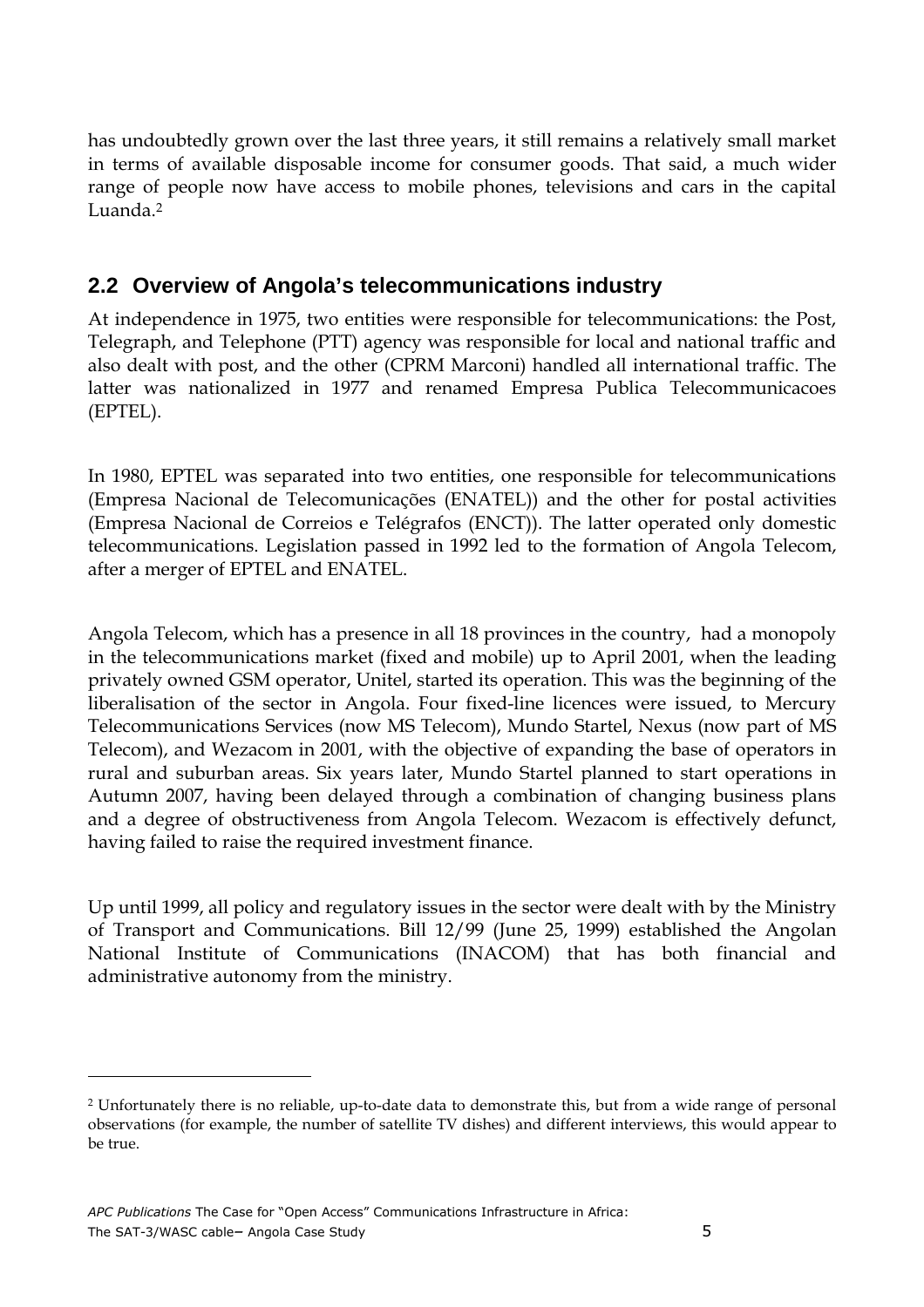has undoubtedly grown over the last three years, it still remains a relatively small market in terms of available disposable income for consumer goods. That said, a much wider range of people now have access to mobile phones, televisions and cars in the capital Luanda<sup>2</sup>

## **2.2 Overview of Angola's telecommunications industry**

At independence in 1975, two entities were responsible for telecommunications: the Post, Telegraph, and Telephone (PTT) agency was responsible for local and national traffic and also dealt with post, and the other (CPRM Marconi) handled all international traffic. The latter was nationalized in 1977 and renamed Empresa Publica Telecommunicacoes (EPTEL).

In 1980, EPTEL was separated into two entities, one responsible for telecommunications (Empresa Nacional de Telecomunicações (ENATEL)) and the other for postal activities (Empresa Nacional de Correios e Telégrafos (ENCT)). The latter operated only domestic telecommunications. Legislation passed in 1992 led to the formation of Angola Telecom, after a merger of EPTEL and ENATEL.

Angola Telecom, which has a presence in all 18 provinces in the country, had a monopoly in the telecommunications market (fixed and mobile) up to April 2001, when the leading privately owned GSM operator, Unitel, started its operation. This was the beginning of the liberalisation of the sector in Angola. Four fixed-line licences were issued, to Mercury Telecommunications Services (now MS Telecom), Mundo Startel, Nexus (now part of MS Telecom), and Wezacom in 2001, with the objective of expanding the base of operators in rural and suburban areas. Six years later, Mundo Startel planned to start operations in Autumn 2007, having been delayed through a combination of changing business plans and a degree of obstructiveness from Angola Telecom. Wezacom is effectively defunct, having failed to raise the required investment finance.

Up until 1999, all policy and regulatory issues in the sector were dealt with by the Ministry of Transport and Communications. Bill 12/99 (June 25, 1999) established the Angolan National Institute of Communications (INACOM) that has both financial and administrative autonomy from the ministry.

 $\overline{a}$ 

<sup>2</sup> Unfortunately there is no reliable, up-to-date data to demonstrate this, but from a wide range of personal observations (for example, the number of satellite TV dishes) and different interviews, this would appear to be true.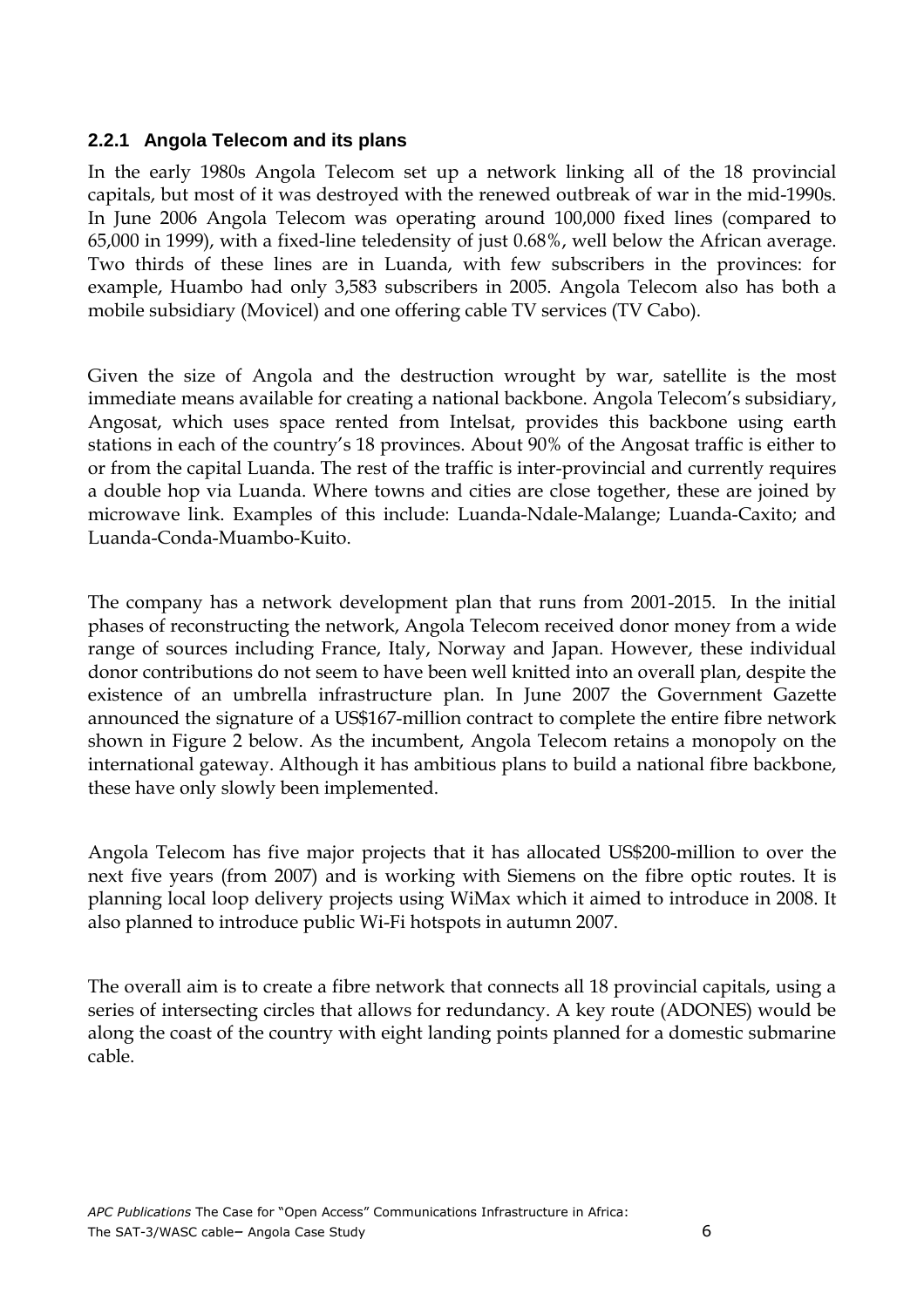#### **2.2.1 Angola Telecom and its plans**

In the early 1980s Angola Telecom set up a network linking all of the 18 provincial capitals, but most of it was destroyed with the renewed outbreak of war in the mid-1990s. In June 2006 Angola Telecom was operating around 100,000 fixed lines (compared to 65,000 in 1999), with a fixed-line teledensity of just 0.68%, well below the African average. Two thirds of these lines are in Luanda, with few subscribers in the provinces: for example, Huambo had only 3,583 subscribers in 2005. Angola Telecom also has both a mobile subsidiary (Movicel) and one offering cable TV services (TV Cabo).

Given the size of Angola and the destruction wrought by war, satellite is the most immediate means available for creating a national backbone. Angola Telecom's subsidiary, Angosat, which uses space rented from Intelsat, provides this backbone using earth stations in each of the country's 18 provinces. About 90% of the Angosat traffic is either to or from the capital Luanda. The rest of the traffic is inter-provincial and currently requires a double hop via Luanda. Where towns and cities are close together, these are joined by microwave link. Examples of this include: Luanda-Ndale-Malange; Luanda-Caxito; and Luanda-Conda-Muambo-Kuito.

The company has a network development plan that runs from 2001-2015. In the initial phases of reconstructing the network, Angola Telecom received donor money from a wide range of sources including France, Italy, Norway and Japan. However, these individual donor contributions do not seem to have been well knitted into an overall plan, despite the existence of an umbrella infrastructure plan. In June 2007 the Government Gazette announced the signature of a US\$167-million contract to complete the entire fibre network shown in Figure 2 below. As the incumbent, Angola Telecom retains a monopoly on the international gateway. Although it has ambitious plans to build a national fibre backbone, these have only slowly been implemented.

Angola Telecom has five major projects that it has allocated US\$200-million to over the next five years (from 2007) and is working with Siemens on the fibre optic routes. It is planning local loop delivery projects using WiMax which it aimed to introduce in 2008. It also planned to introduce public Wi-Fi hotspots in autumn 2007.

The overall aim is to create a fibre network that connects all 18 provincial capitals, using a series of intersecting circles that allows for redundancy. A key route (ADONES) would be along the coast of the country with eight landing points planned for a domestic submarine cable.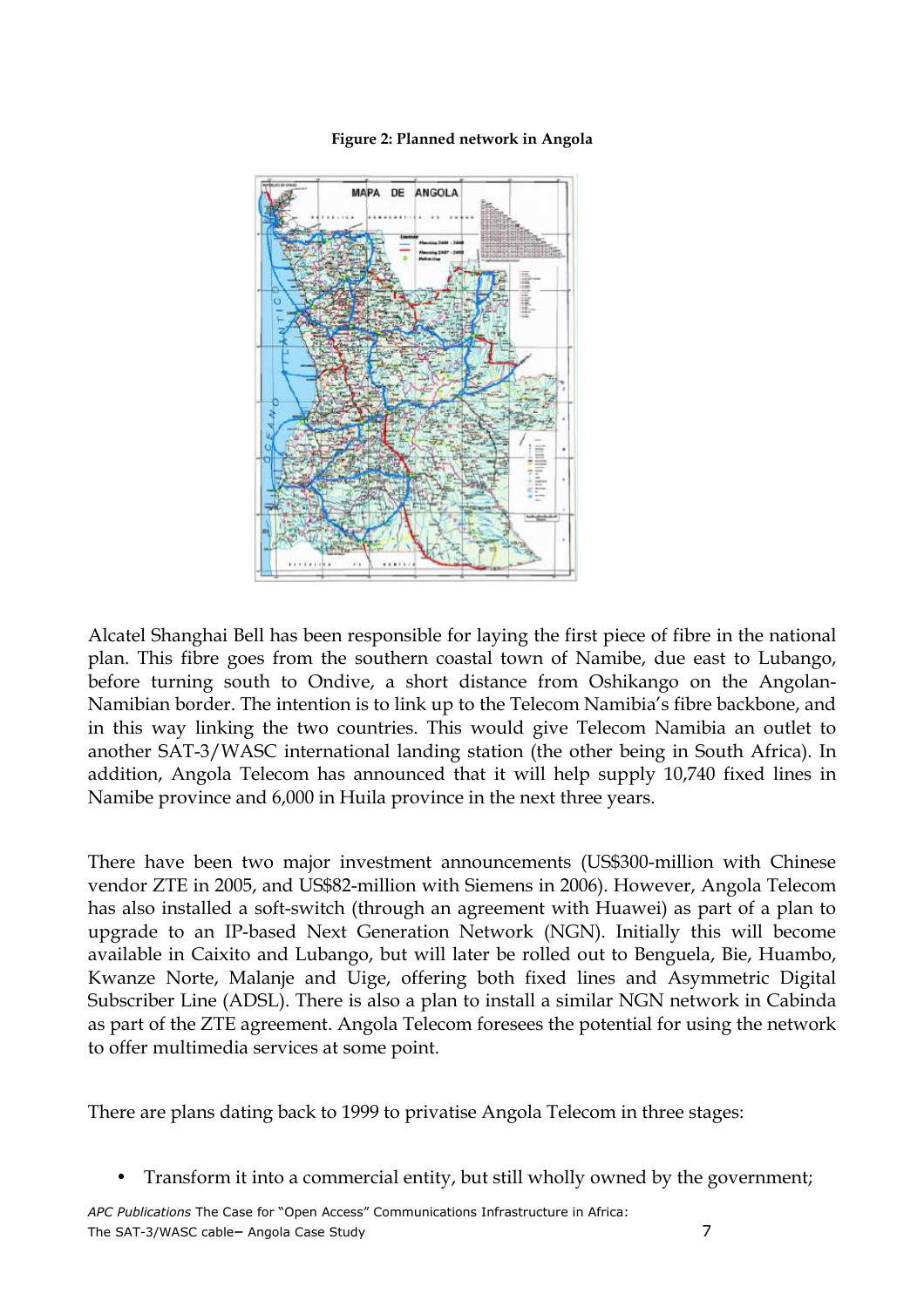

#### Figure 2: Planned network in Angola

Alcatel Shanghai Bell has been responsible for laying the first piece of fibre in the national plan. This fibre goes from the southern coastal town of Namibe, due east to Lubango, before turning south to Ondive, a short distance from Oshikango on the Angolan-Namibian border. The intention is to link up to the Telecom Namibia's fibre backbone, and in this way linking the two countries. This would give Telecom Namibia an outlet to another SAT-3/WASC international landing station (the other being in South Africa). In addition, Angola Telecom has announced that it will help supply 10,740 fixed lines in Namibe province and 6,000 in Huila province in the next three years.

There have been two major investment announcements (US\$300-million with Chinese vendor ZTE in 2005, and US\$82-million with Siemens in 2006). However, Angola Telecom has also installed a soft-switch (through an agreement with Huawei) as part of a plan to upgrade to an IP-based Next Generation Network (NGN). Initially this will become available in Caixito and Lubango, but will later be rolled out to Benguela, Bie, Huambo, Kwanze Norte, Malanje and Uige, offering both fixed lines and Asymmetric Digital Subscriber Line (ADSL). There is also a plan to install a similar NGN network in Cabinda as part of the ZTE agreement. Angola Telecom foresees the potential for using the network to offer multimedia services at some point.

There are plans dating back to 1999 to privatise Angola Telecom in three stages:

• Transform it into a commercial entity, but still wholly owned by the government;

APC Publications The Case for "Open Access" Communications Infrastructure in Africa: The SAT-3/WASC cable– Angola Case Study 7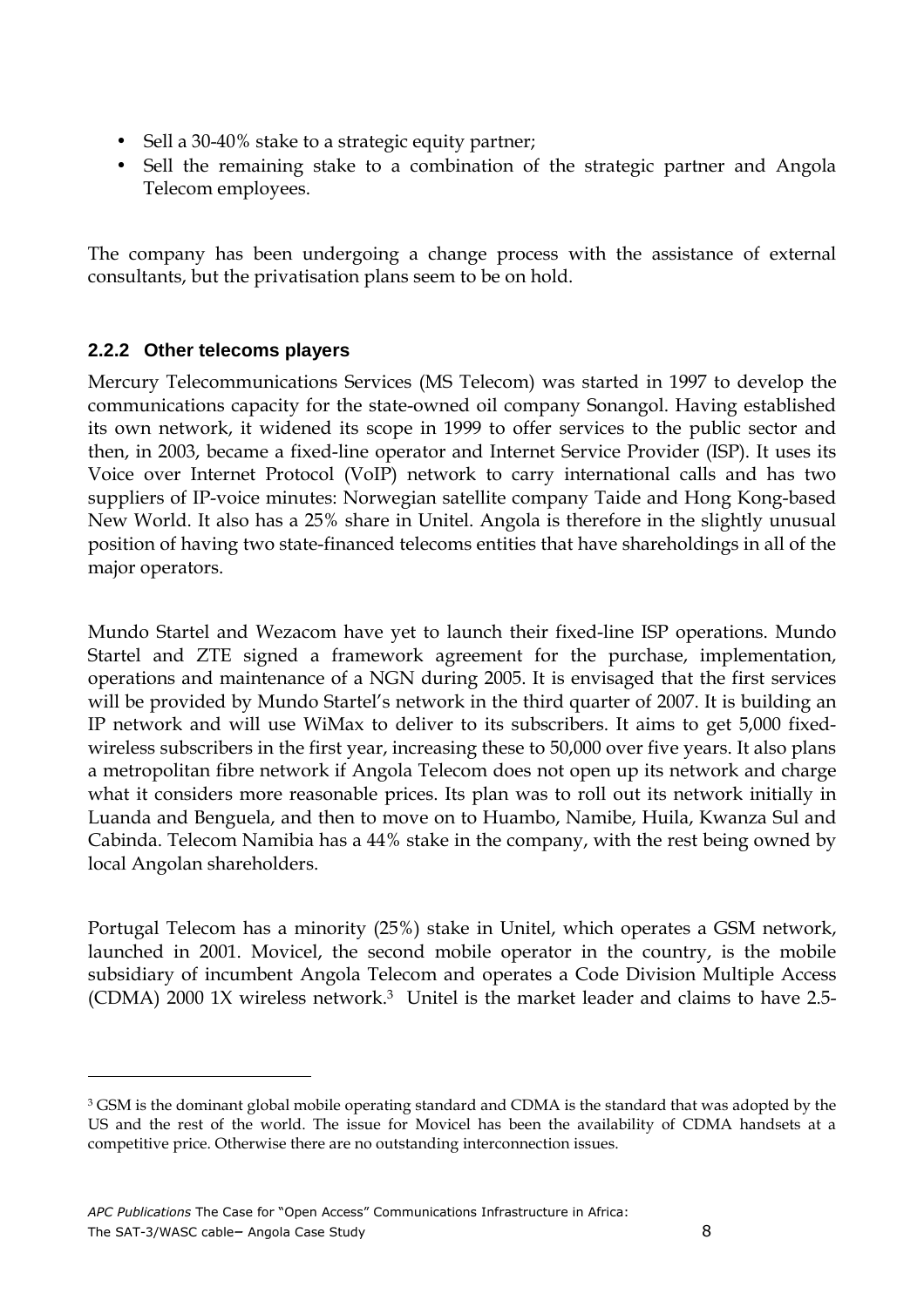- Sell a 30-40% stake to a strategic equity partner;
- Sell the remaining stake to a combination of the strategic partner and Angola Telecom employees.

The company has been undergoing a change process with the assistance of external consultants, but the privatisation plans seem to be on hold.

#### **2.2.2 Other telecoms players**

 $\overline{a}$ 

Mercury Telecommunications Services (MS Telecom) was started in 1997 to develop the communications capacity for the state-owned oil company Sonangol. Having established its own network, it widened its scope in 1999 to offer services to the public sector and then, in 2003, became a fixed-line operator and Internet Service Provider (ISP). It uses its Voice over Internet Protocol (VoIP) network to carry international calls and has two suppliers of IP-voice minutes: Norwegian satellite company Taide and Hong Kong-based New World. It also has a 25% share in Unitel. Angola is therefore in the slightly unusual position of having two state-financed telecoms entities that have shareholdings in all of the major operators.

Mundo Startel and Wezacom have yet to launch their fixed-line ISP operations. Mundo Startel and ZTE signed a framework agreement for the purchase, implementation, operations and maintenance of a NGN during 2005. It is envisaged that the first services will be provided by Mundo Startel's network in the third quarter of 2007. It is building an IP network and will use WiMax to deliver to its subscribers. It aims to get 5,000 fixedwireless subscribers in the first year, increasing these to 50,000 over five years. It also plans a metropolitan fibre network if Angola Telecom does not open up its network and charge what it considers more reasonable prices. Its plan was to roll out its network initially in Luanda and Benguela, and then to move on to Huambo, Namibe, Huila, Kwanza Sul and Cabinda. Telecom Namibia has a 44% stake in the company, with the rest being owned by local Angolan shareholders.

Portugal Telecom has a minority (25%) stake in Unitel, which operates a GSM network, launched in 2001. Movicel, the second mobile operator in the country, is the mobile subsidiary of incumbent Angola Telecom and operates a Code Division Multiple Access (CDMA) 2000 1X wireless network.<sup>3</sup> Unitel is the market leader and claims to have 2.5-

 $^3$  GSM is the dominant global mobile operating standard and CDMA is the standard that was adopted by the US and the rest of the world. The issue for Movicel has been the availability of CDMA handsets at a competitive price. Otherwise there are no outstanding interconnection issues.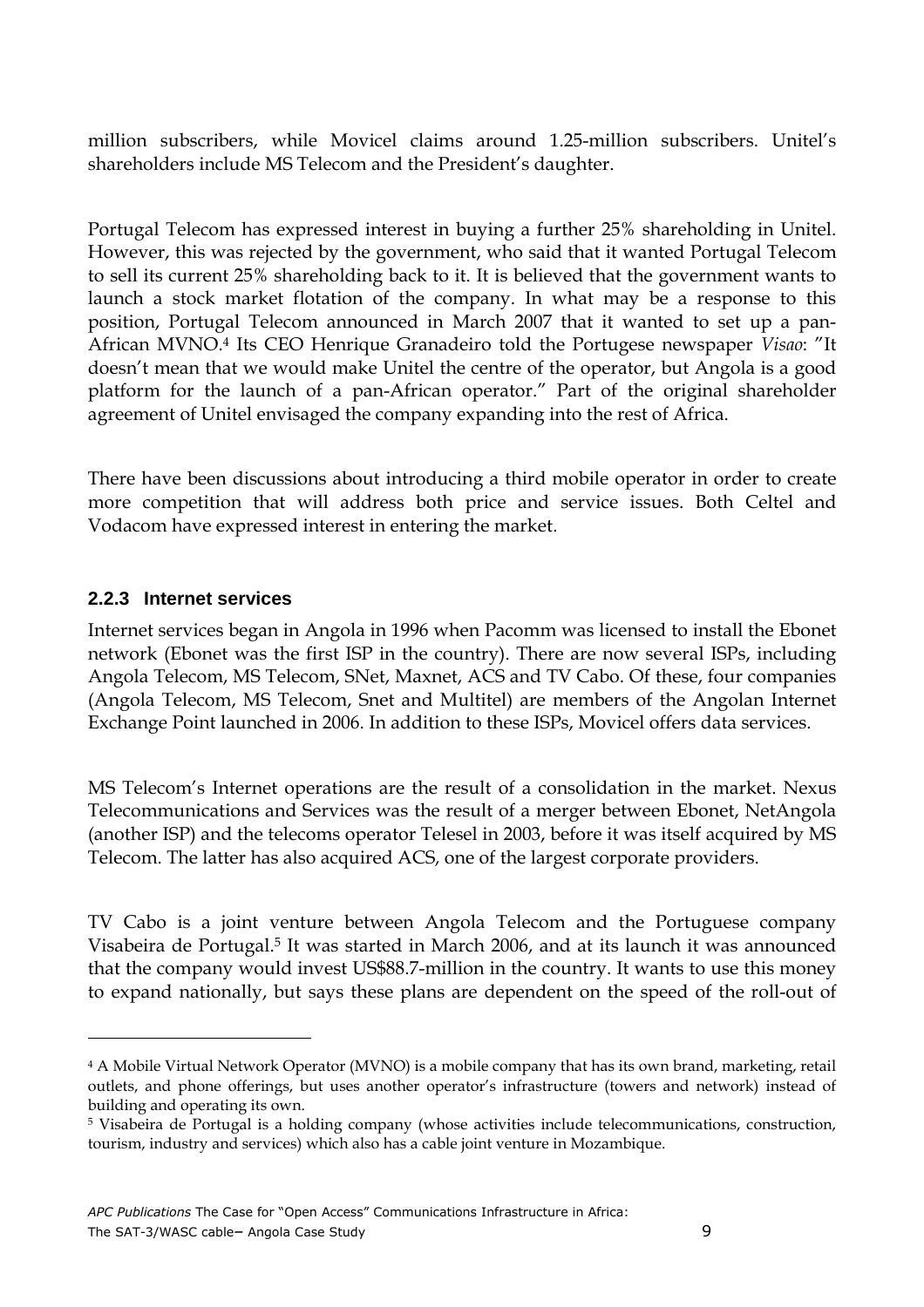million subscribers, while Movicel claims around 1.25-million subscribers. Unitel's shareholders include MS Telecom and the President's daughter.

Portugal Telecom has expressed interest in buying a further 25% shareholding in Unitel. However, this was rejected by the government, who said that it wanted Portugal Telecom to sell its current 25% shareholding back to it. It is believed that the government wants to launch a stock market flotation of the company. In what may be a response to this position, Portugal Telecom announced in March 2007 that it wanted to set up a pan-African MVNO.<sup>4</sup> Its CEO Henrique Granadeiro told the Portugese newspaper Visao: "It doesn't mean that we would make Unitel the centre of the operator, but Angola is a good platform for the launch of a pan-African operator." Part of the original shareholder agreement of Unitel envisaged the company expanding into the rest of Africa.

There have been discussions about introducing a third mobile operator in order to create more competition that will address both price and service issues. Both Celtel and Vodacom have expressed interest in entering the market.

#### **2.2.3 Internet services**

 $\overline{a}$ 

Internet services began in Angola in 1996 when Pacomm was licensed to install the Ebonet network (Ebonet was the first ISP in the country). There are now several ISPs, including Angola Telecom, MS Telecom, SNet, Maxnet, ACS and TV Cabo. Of these, four companies (Angola Telecom, MS Telecom, Snet and Multitel) are members of the Angolan Internet Exchange Point launched in 2006. In addition to these ISPs, Movicel offers data services.

MS Telecom's Internet operations are the result of a consolidation in the market. Nexus Telecommunications and Services was the result of a merger between Ebonet, NetAngola (another ISP) and the telecoms operator Telesel in 2003, before it was itself acquired by MS Telecom. The latter has also acquired ACS, one of the largest corporate providers.

TV Cabo is a joint venture between Angola Telecom and the Portuguese company Visabeira de Portugal.<sup>5</sup> It was started in March 2006, and at its launch it was announced that the company would invest US\$88.7-million in the country. It wants to use this money to expand nationally, but says these plans are dependent on the speed of the roll-out of

<sup>4</sup> A Mobile Virtual Network Operator (MVNO) is a mobile company that has its own brand, marketing, retail outlets, and phone offerings, but uses another operator's infrastructure (towers and network) instead of building and operating its own.

<sup>5</sup> Visabeira de Portugal is a holding company (whose activities include telecommunications, construction, tourism, industry and services) which also has a cable joint venture in Mozambique.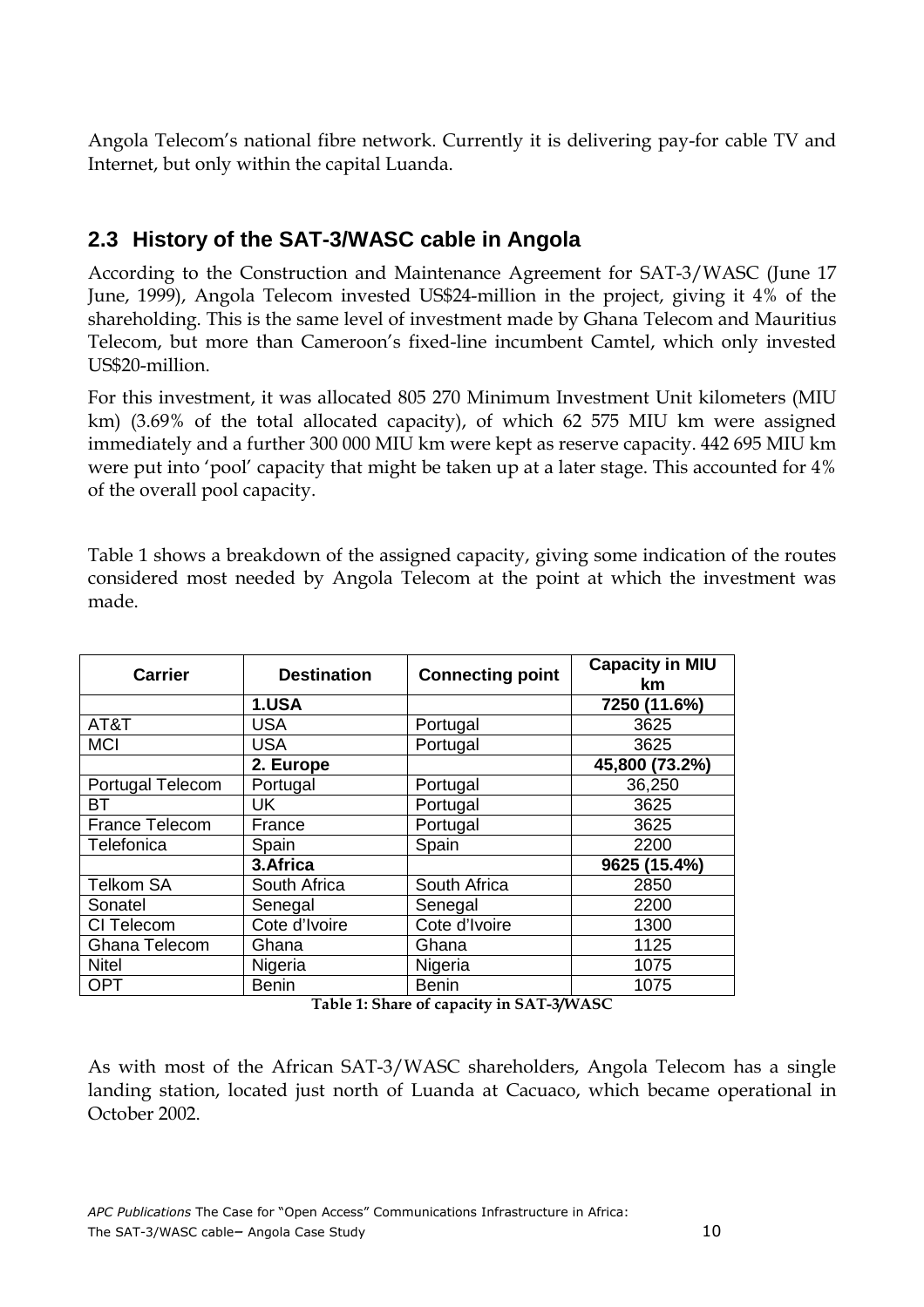Angola Telecom's national fibre network. Currently it is delivering pay-for cable TV and Internet, but only within the capital Luanda.

## **2.3 History of the SAT-3/WASC cable in Angola**

According to the Construction and Maintenance Agreement for SAT-3/WASC (June 17 June, 1999), Angola Telecom invested US\$24-million in the project, giving it 4% of the shareholding. This is the same level of investment made by Ghana Telecom and Mauritius Telecom, but more than Cameroon's fixed-line incumbent Camtel, which only invested US\$20-million.

For this investment, it was allocated 805 270 Minimum Investment Unit kilometers (MIU km) (3.69% of the total allocated capacity), of which 62 575 MIU km were assigned immediately and a further 300 000 MIU km were kept as reserve capacity. 442 695 MIU km were put into 'pool' capacity that might be taken up at a later stage. This accounted for 4% of the overall pool capacity.

| <b>Carrier</b>          | <b>Destination</b> | <b>Connecting point</b> | <b>Capacity in MIU</b><br>km. |
|-------------------------|--------------------|-------------------------|-------------------------------|
|                         | 1.USA              |                         | 7250 (11.6%)                  |
| AT&T                    | <b>USA</b>         | Portugal                | 3625                          |
| <b>MCI</b>              | <b>USA</b>         | Portugal                | 3625                          |
|                         | 2. Europe          |                         | 45,800 (73.2%)                |
| <b>Portugal Telecom</b> | Portugal           | Portugal                | 36,250                        |
| <b>BT</b>               | <b>UK</b>          | Portugal                | 3625                          |
| <b>France Telecom</b>   | France             | Portugal                | 3625                          |
| Telefonica              | Spain              | Spain                   | 2200                          |
|                         | 3.Africa           |                         | 9625 (15.4%)                  |
| <b>Telkom SA</b>        | South Africa       | South Africa            | 2850                          |
| Sonatel                 | Senegal            | Senegal                 | 2200                          |
| CI Telecom              | Cote d'Ivoire      | Cote d'Ivoire           | 1300                          |
| Ghana Telecom           | Ghana              | Ghana                   | 1125                          |
| <b>Nitel</b>            | Nigeria            | Nigeria                 | 1075                          |
| <b>OPT</b>              | <b>Benin</b>       | <b>Benin</b>            | 1075                          |

Table 1 shows a breakdown of the assigned capacity, giving some indication of the routes considered most needed by Angola Telecom at the point at which the investment was made.

Table 1: Share of capacity in SAT-3/WASC

As with most of the African SAT-3/WASC shareholders, Angola Telecom has a single landing station, located just north of Luanda at Cacuaco, which became operational in October 2002.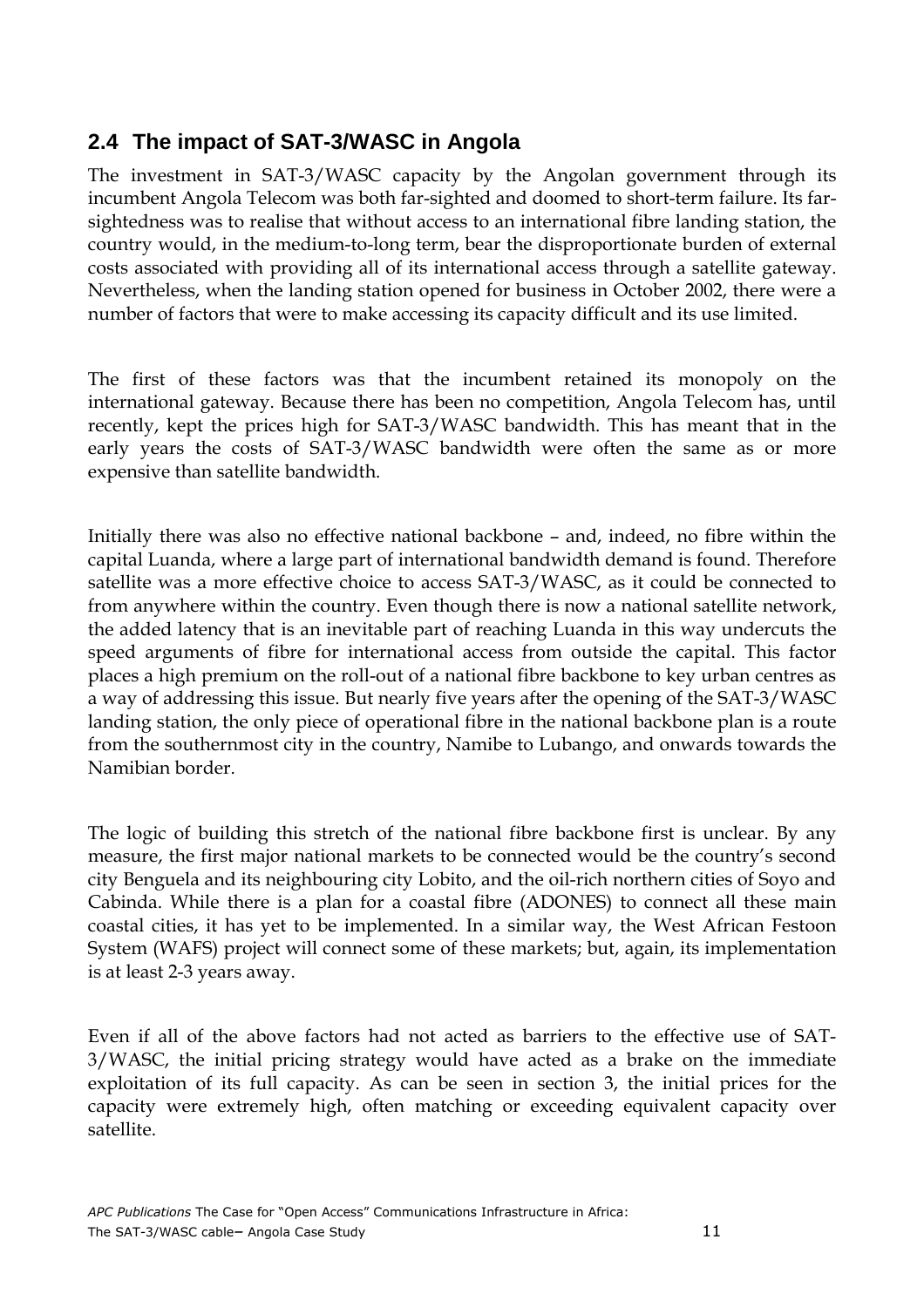## **2.4 The impact of SAT-3/WASC in Angola**

The investment in SAT-3/WASC capacity by the Angolan government through its incumbent Angola Telecom was both far-sighted and doomed to short-term failure. Its farsightedness was to realise that without access to an international fibre landing station, the country would, in the medium-to-long term, bear the disproportionate burden of external costs associated with providing all of its international access through a satellite gateway. Nevertheless, when the landing station opened for business in October 2002, there were a number of factors that were to make accessing its capacity difficult and its use limited.

The first of these factors was that the incumbent retained its monopoly on the international gateway. Because there has been no competition, Angola Telecom has, until recently, kept the prices high for SAT-3/WASC bandwidth. This has meant that in the early years the costs of SAT-3/WASC bandwidth were often the same as or more expensive than satellite bandwidth.

Initially there was also no effective national backbone – and, indeed, no fibre within the capital Luanda, where a large part of international bandwidth demand is found. Therefore satellite was a more effective choice to access SAT-3/WASC, as it could be connected to from anywhere within the country. Even though there is now a national satellite network, the added latency that is an inevitable part of reaching Luanda in this way undercuts the speed arguments of fibre for international access from outside the capital. This factor places a high premium on the roll-out of a national fibre backbone to key urban centres as a way of addressing this issue. But nearly five years after the opening of the SAT-3/WASC landing station, the only piece of operational fibre in the national backbone plan is a route from the southernmost city in the country, Namibe to Lubango, and onwards towards the Namibian border.

The logic of building this stretch of the national fibre backbone first is unclear. By any measure, the first major national markets to be connected would be the country's second city Benguela and its neighbouring city Lobito, and the oil-rich northern cities of Soyo and Cabinda. While there is a plan for a coastal fibre (ADONES) to connect all these main coastal cities, it has yet to be implemented. In a similar way, the West African Festoon System (WAFS) project will connect some of these markets; but, again, its implementation is at least 2-3 years away.

Even if all of the above factors had not acted as barriers to the effective use of SAT-3/WASC, the initial pricing strategy would have acted as a brake on the immediate exploitation of its full capacity. As can be seen in section 3, the initial prices for the capacity were extremely high, often matching or exceeding equivalent capacity over satellite.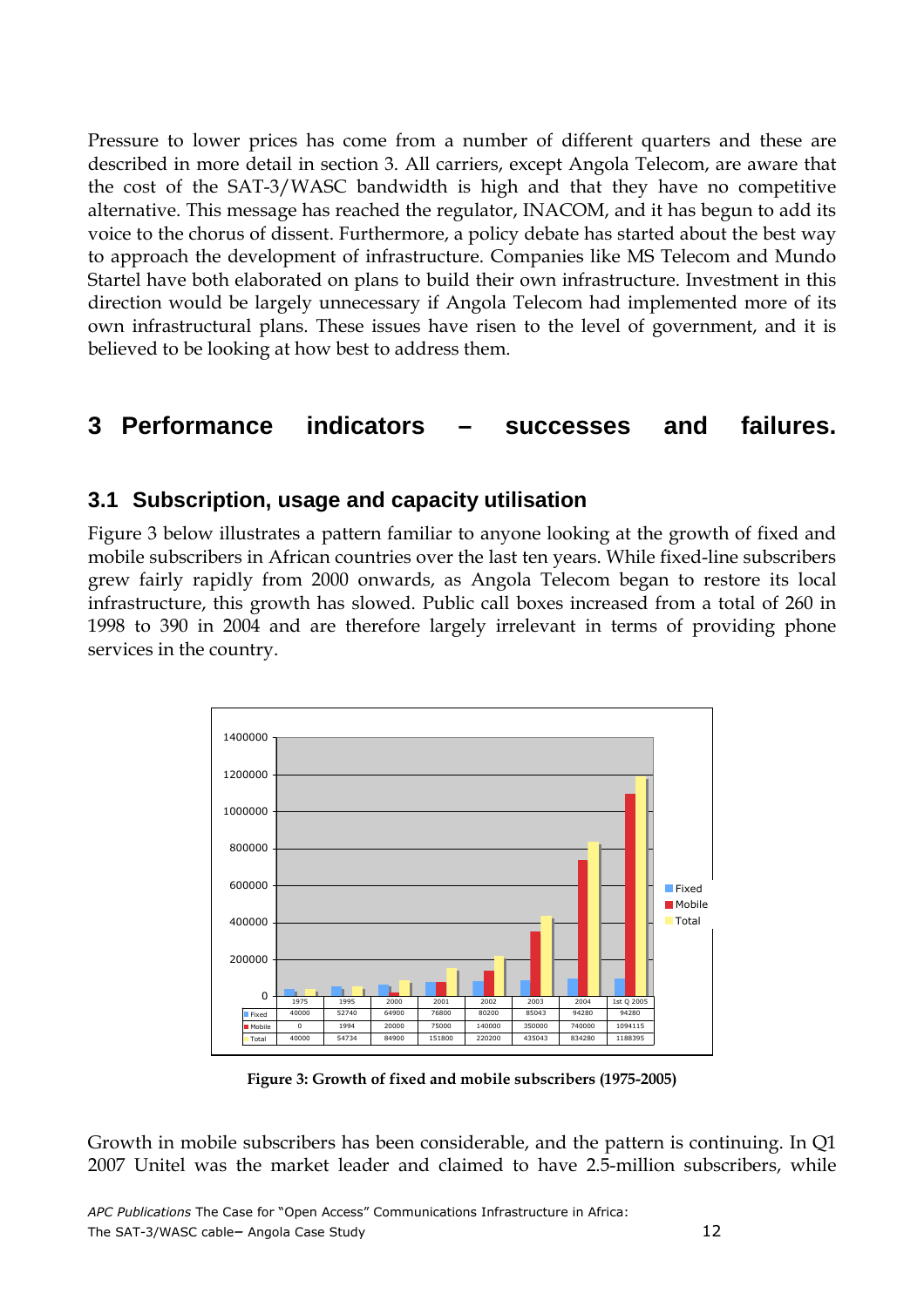Pressure to lower prices has come from a number of different quarters and these are described in more detail in section 3. All carriers, except Angola Telecom, are aware that the cost of the SAT-3/WASC bandwidth is high and that they have no competitive alternative. This message has reached the regulator, INACOM, and it has begun to add its voice to the chorus of dissent. Furthermore, a policy debate has started about the best way to approach the development of infrastructure. Companies like MS Telecom and Mundo Startel have both elaborated on plans to build their own infrastructure. Investment in this direction would be largely unnecessary if Angola Telecom had implemented more of its own infrastructural plans. These issues have risen to the level of government, and it is believed to be looking at how best to address them.

## **3 Performance indicators – successes and failures.**

### **3.1 Subscription, usage and capacity utilisation**

Figure 3 below illustrates a pattern familiar to anyone looking at the growth of fixed and mobile subscribers in African countries over the last ten years. While fixed-line subscribers grew fairly rapidly from 2000 onwards, as Angola Telecom began to restore its local infrastructure, this growth has slowed. Public call boxes increased from a total of 260 in 1998 to 390 in 2004 and are therefore largely irrelevant in terms of providing phone services in the country.



Figure 3: Growth of fixed and mobile subscribers (1975-2005)

Growth in mobile subscribers has been considerable, and the pattern is continuing. In Q1 2007 Unitel was the market leader and claimed to have 2.5-million subscribers, while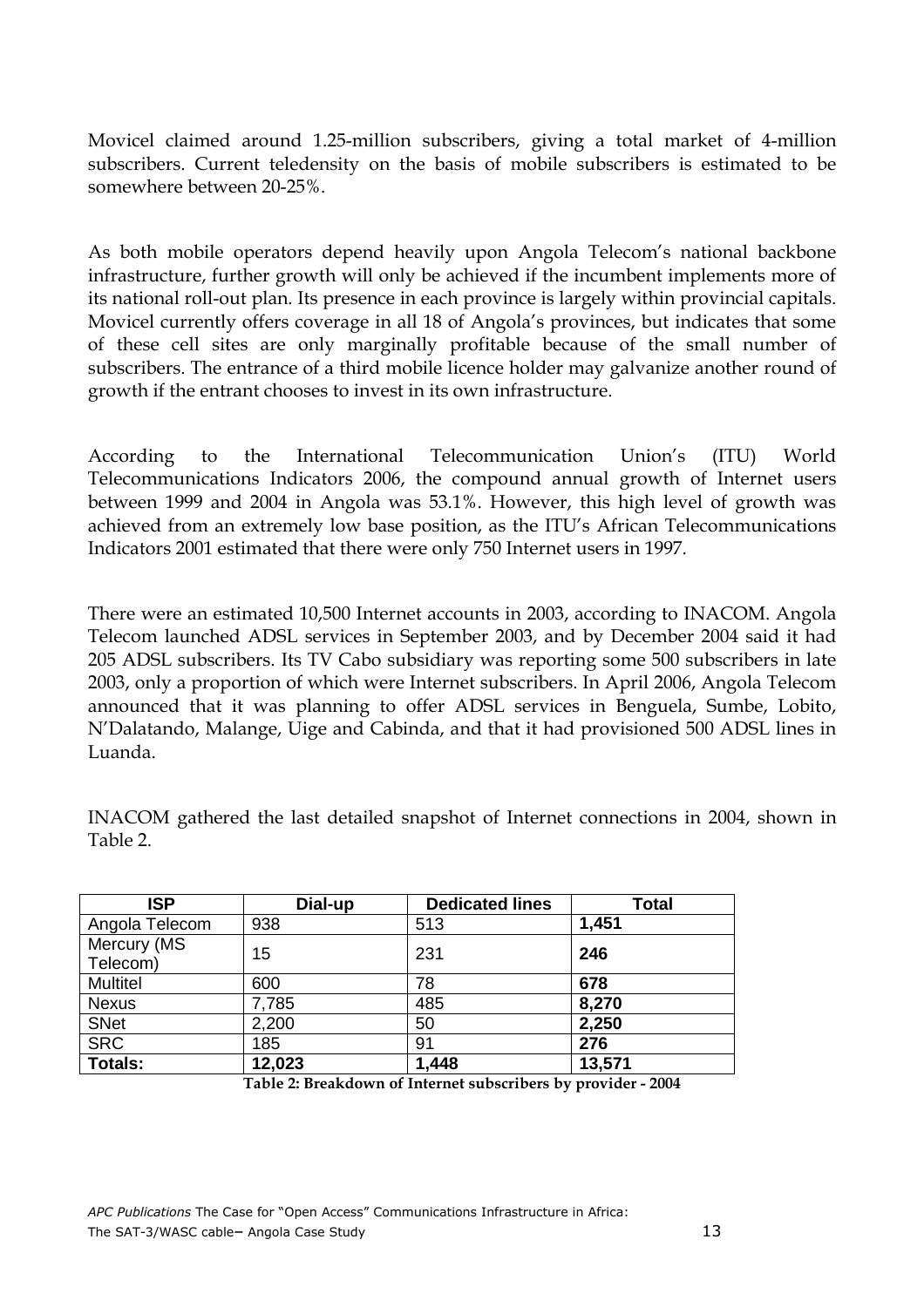Movicel claimed around 1.25-million subscribers, giving a total market of 4-million subscribers. Current teledensity on the basis of mobile subscribers is estimated to be somewhere between 20-25%.

As both mobile operators depend heavily upon Angola Telecom's national backbone infrastructure, further growth will only be achieved if the incumbent implements more of its national roll-out plan. Its presence in each province is largely within provincial capitals. Movicel currently offers coverage in all 18 of Angola's provinces, but indicates that some of these cell sites are only marginally profitable because of the small number of subscribers. The entrance of a third mobile licence holder may galvanize another round of growth if the entrant chooses to invest in its own infrastructure.

According to the International Telecommunication Union's (ITU) World Telecommunications Indicators 2006, the compound annual growth of Internet users between 1999 and 2004 in Angola was 53.1%. However, this high level of growth was achieved from an extremely low base position, as the ITU's African Telecommunications Indicators 2001 estimated that there were only 750 Internet users in 1997.

There were an estimated 10,500 Internet accounts in 2003, according to INACOM. Angola Telecom launched ADSL services in September 2003, and by December 2004 said it had 205 ADSL subscribers. Its TV Cabo subsidiary was reporting some 500 subscribers in late 2003, only a proportion of which were Internet subscribers. In April 2006, Angola Telecom announced that it was planning to offer ADSL services in Benguela, Sumbe, Lobito, N'Dalatando, Malange, Uige and Cabinda, and that it had provisioned 500 ADSL lines in Luanda.

INACOM gathered the last detailed snapshot of Internet connections in 2004, shown in Table 2.

| <b>ISP</b>      | Dial-up | <b>Dedicated lines</b> | <b>Total</b> |
|-----------------|---------|------------------------|--------------|
| Angola Telecom  | 938     | 513                    | 1,451        |
| Mercury (MS     | 15      | 231                    | 246          |
| Telecom)        |         |                        |              |
| <b>Multitel</b> | 600     | 78                     | 678          |
| <b>Nexus</b>    | 7,785   | 485                    | 8,270        |
| <b>SNet</b>     | 2,200   | 50                     | 2,250        |
| <b>SRC</b>      | 185     | 91                     | 276          |
| <b>Totals:</b>  | 12,023  | 1,448                  | 13,571       |

Table 2: Breakdown of Internet subscribers by provider - 2004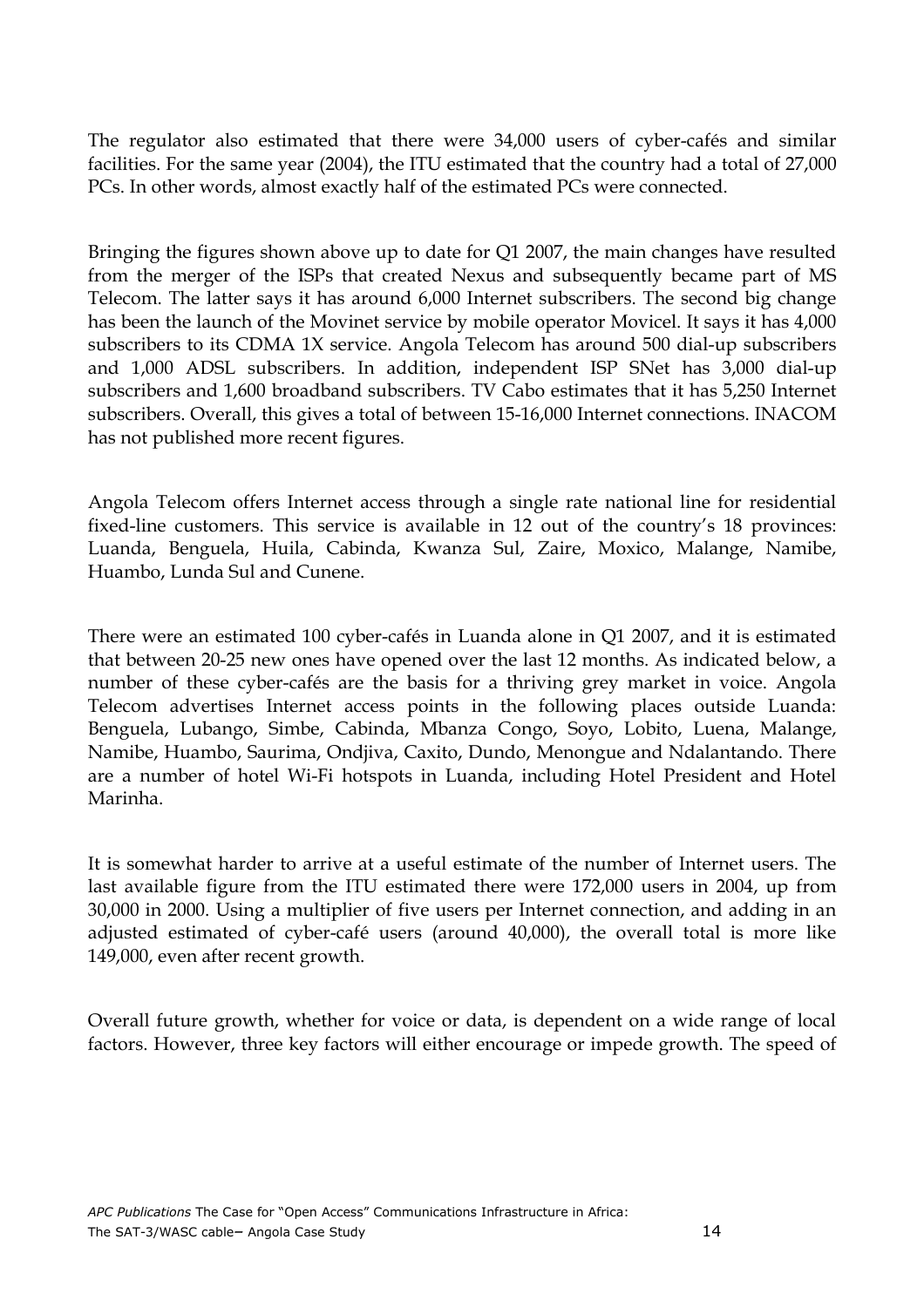The regulator also estimated that there were 34,000 users of cyber-cafés and similar facilities. For the same year (2004), the ITU estimated that the country had a total of 27,000 PCs. In other words, almost exactly half of the estimated PCs were connected.

Bringing the figures shown above up to date for Q1 2007, the main changes have resulted from the merger of the ISPs that created Nexus and subsequently became part of MS Telecom. The latter says it has around 6,000 Internet subscribers. The second big change has been the launch of the Movinet service by mobile operator Movicel. It says it has 4,000 subscribers to its CDMA 1X service. Angola Telecom has around 500 dial-up subscribers and 1,000 ADSL subscribers. In addition, independent ISP SNet has 3,000 dial-up subscribers and 1,600 broadband subscribers. TV Cabo estimates that it has 5,250 Internet subscribers. Overall, this gives a total of between 15-16,000 Internet connections. INACOM has not published more recent figures.

Angola Telecom offers Internet access through a single rate national line for residential fixed-line customers. This service is available in 12 out of the country's 18 provinces: Luanda, Benguela, Huila, Cabinda, Kwanza Sul, Zaire, Moxico, Malange, Namibe, Huambo, Lunda Sul and Cunene.

There were an estimated 100 cyber-cafés in Luanda alone in Q1 2007, and it is estimated that between 20-25 new ones have opened over the last 12 months. As indicated below, a number of these cyber-cafés are the basis for a thriving grey market in voice. Angola Telecom advertises Internet access points in the following places outside Luanda: Benguela, Lubango, Simbe, Cabinda, Mbanza Congo, Soyo, Lobito, Luena, Malange, Namibe, Huambo, Saurima, Ondjiva, Caxito, Dundo, Menongue and Ndalantando. There are a number of hotel Wi-Fi hotspots in Luanda, including Hotel President and Hotel Marinha.

It is somewhat harder to arrive at a useful estimate of the number of Internet users. The last available figure from the ITU estimated there were 172,000 users in 2004, up from 30,000 in 2000. Using a multiplier of five users per Internet connection, and adding in an adjusted estimated of cyber-café users (around 40,000), the overall total is more like 149,000, even after recent growth.

Overall future growth, whether for voice or data, is dependent on a wide range of local factors. However, three key factors will either encourage or impede growth. The speed of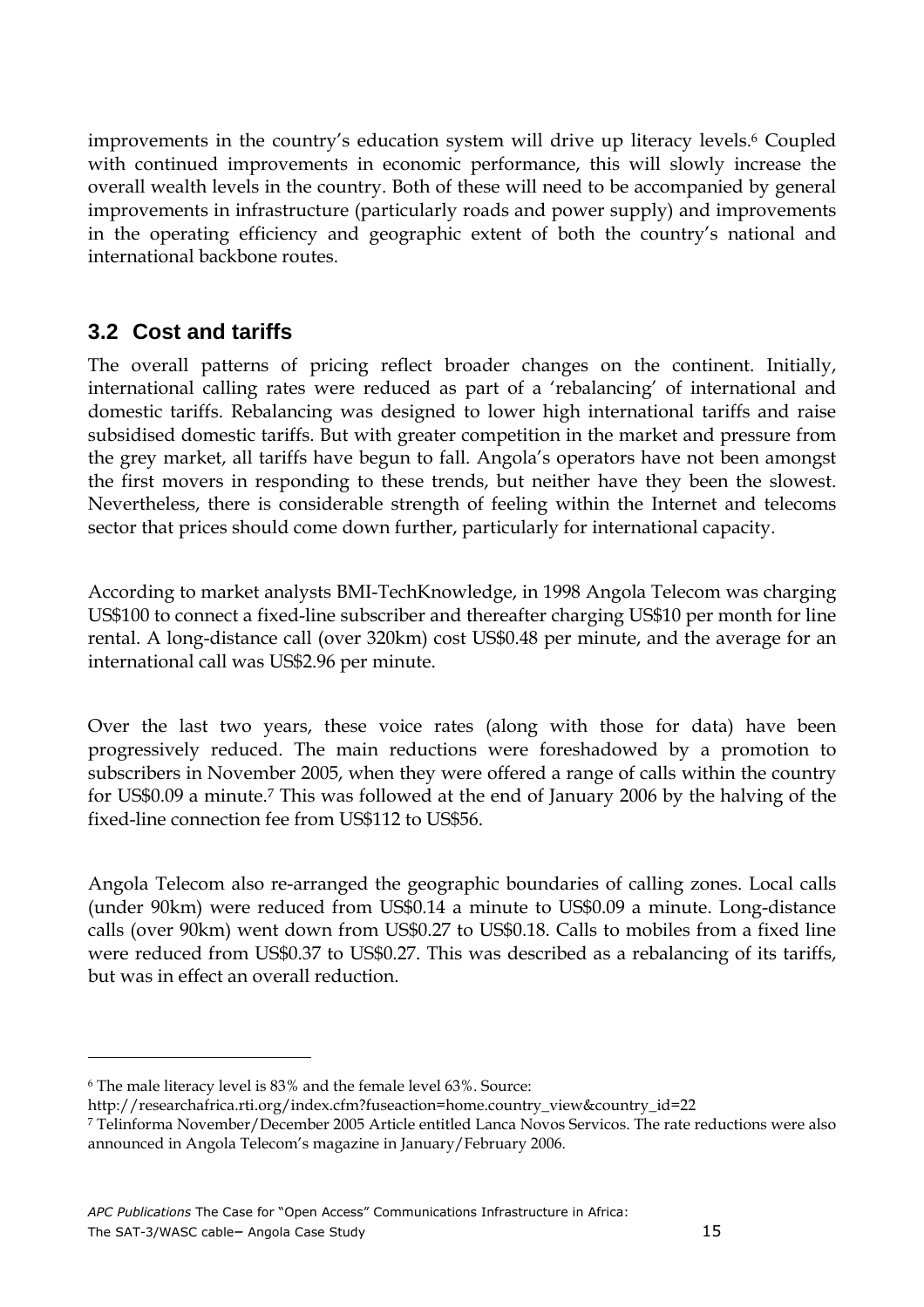improvements in the country's education system will drive up literacy levels.<sup>6</sup> Coupled with continued improvements in economic performance, this will slowly increase the overall wealth levels in the country. Both of these will need to be accompanied by general improvements in infrastructure (particularly roads and power supply) and improvements in the operating efficiency and geographic extent of both the country's national and international backbone routes.

## **3.2 Cost and tariffs**

The overall patterns of pricing reflect broader changes on the continent. Initially, international calling rates were reduced as part of a 'rebalancing' of international and domestic tariffs. Rebalancing was designed to lower high international tariffs and raise subsidised domestic tariffs. But with greater competition in the market and pressure from the grey market, all tariffs have begun to fall. Angola's operators have not been amongst the first movers in responding to these trends, but neither have they been the slowest. Nevertheless, there is considerable strength of feeling within the Internet and telecoms sector that prices should come down further, particularly for international capacity.

According to market analysts BMI-TechKnowledge, in 1998 Angola Telecom was charging US\$100 to connect a fixed-line subscriber and thereafter charging US\$10 per month for line rental. A long-distance call (over 320km) cost US\$0.48 per minute, and the average for an international call was US\$2.96 per minute.

Over the last two years, these voice rates (along with those for data) have been progressively reduced. The main reductions were foreshadowed by a promotion to subscribers in November 2005, when they were offered a range of calls within the country for US\$0.09 a minute.<sup>7</sup> This was followed at the end of January 2006 by the halving of the fixed-line connection fee from US\$112 to US\$56.

Angola Telecom also re-arranged the geographic boundaries of calling zones. Local calls (under 90km) were reduced from US\$0.14 a minute to US\$0.09 a minute. Long-distance calls (over 90km) went down from US\$0.27 to US\$0.18. Calls to mobiles from a fixed line were reduced from US\$0.37 to US\$0.27. This was described as a rebalancing of its tariffs, but was in effect an overall reduction.

 $\overline{a}$ 

<sup>6</sup> The male literacy level is 83% and the female level 63%. Source:

http://researchafrica.rti.org/index.cfm?fuseaction=home.country\_view&country\_id=22

<sup>7</sup> Telinforma November/December 2005 Article entitled Lanca Novos Servicos. The rate reductions were also announced in Angola Telecom's magazine in January/February 2006.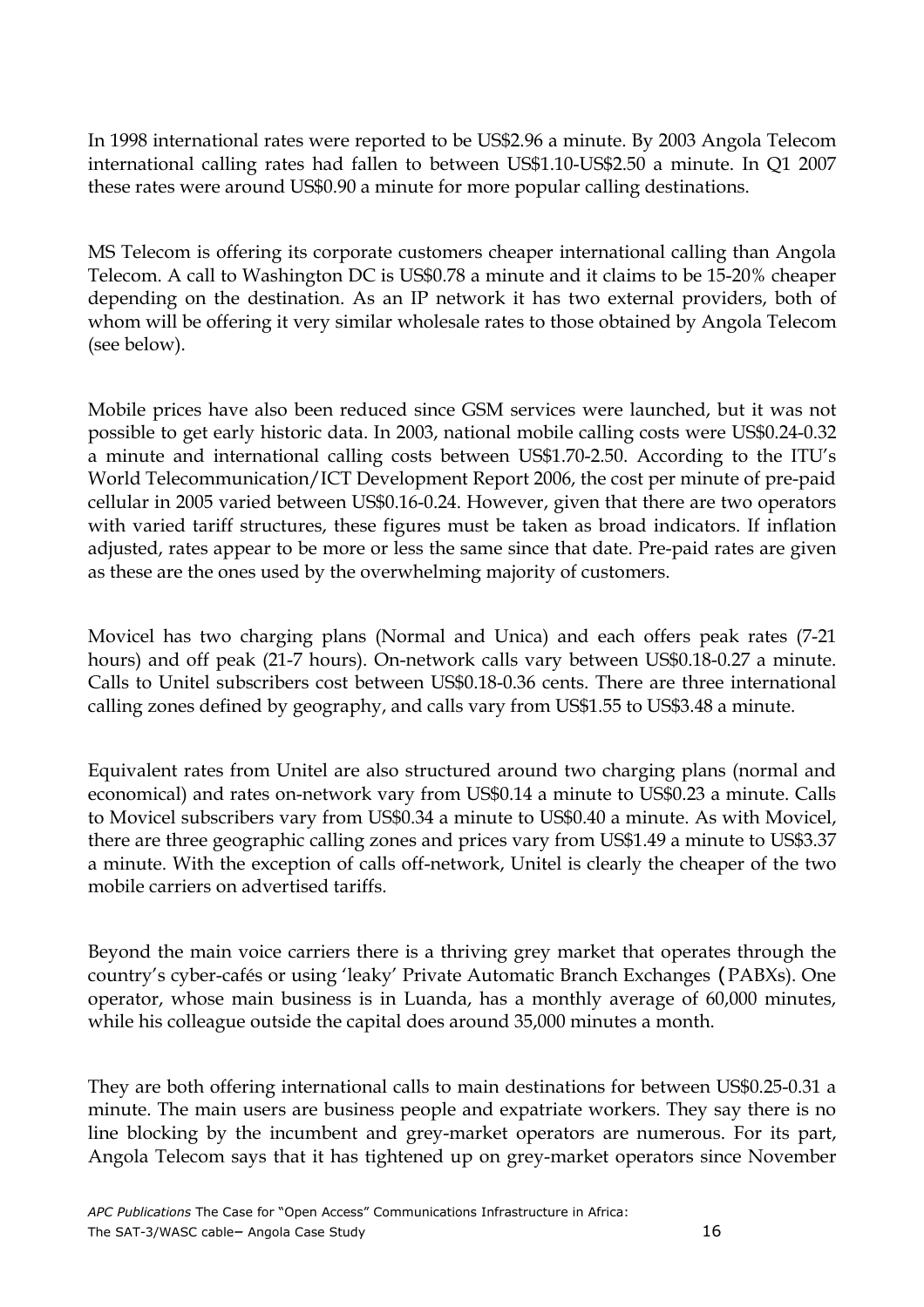In 1998 international rates were reported to be US\$2.96 a minute. By 2003 Angola Telecom international calling rates had fallen to between US\$1.10-US\$2.50 a minute. In Q1 2007 these rates were around US\$0.90 a minute for more popular calling destinations.

MS Telecom is offering its corporate customers cheaper international calling than Angola Telecom. A call to Washington DC is US\$0.78 a minute and it claims to be 15-20% cheaper depending on the destination. As an IP network it has two external providers, both of whom will be offering it very similar wholesale rates to those obtained by Angola Telecom (see below).

Mobile prices have also been reduced since GSM services were launched, but it was not possible to get early historic data. In 2003, national mobile calling costs were US\$0.24-0.32 a minute and international calling costs between US\$1.70-2.50. According to the ITU's World Telecommunication/ICT Development Report 2006, the cost per minute of pre-paid cellular in 2005 varied between US\$0.16-0.24. However, given that there are two operators with varied tariff structures, these figures must be taken as broad indicators. If inflation adjusted, rates appear to be more or less the same since that date. Pre-paid rates are given as these are the ones used by the overwhelming majority of customers.

Movicel has two charging plans (Normal and Unica) and each offers peak rates (7-21 hours) and off peak (21-7 hours). On-network calls vary between US\$0.18-0.27 a minute. Calls to Unitel subscribers cost between US\$0.18-0.36 cents. There are three international calling zones defined by geography, and calls vary from US\$1.55 to US\$3.48 a minute.

Equivalent rates from Unitel are also structured around two charging plans (normal and economical) and rates on-network vary from US\$0.14 a minute to US\$0.23 a minute. Calls to Movicel subscribers vary from US\$0.34 a minute to US\$0.40 a minute. As with Movicel, there are three geographic calling zones and prices vary from US\$1.49 a minute to US\$3.37 a minute. With the exception of calls off-network, Unitel is clearly the cheaper of the two mobile carriers on advertised tariffs.

Beyond the main voice carriers there is a thriving grey market that operates through the country's cyber-cafés or using 'leaky' Private Automatic Branch Exchanges (PABXs). One operator, whose main business is in Luanda, has a monthly average of 60,000 minutes, while his colleague outside the capital does around 35,000 minutes a month.

They are both offering international calls to main destinations for between US\$0.25-0.31 a minute. The main users are business people and expatriate workers. They say there is no line blocking by the incumbent and grey-market operators are numerous. For its part, Angola Telecom says that it has tightened up on grey-market operators since November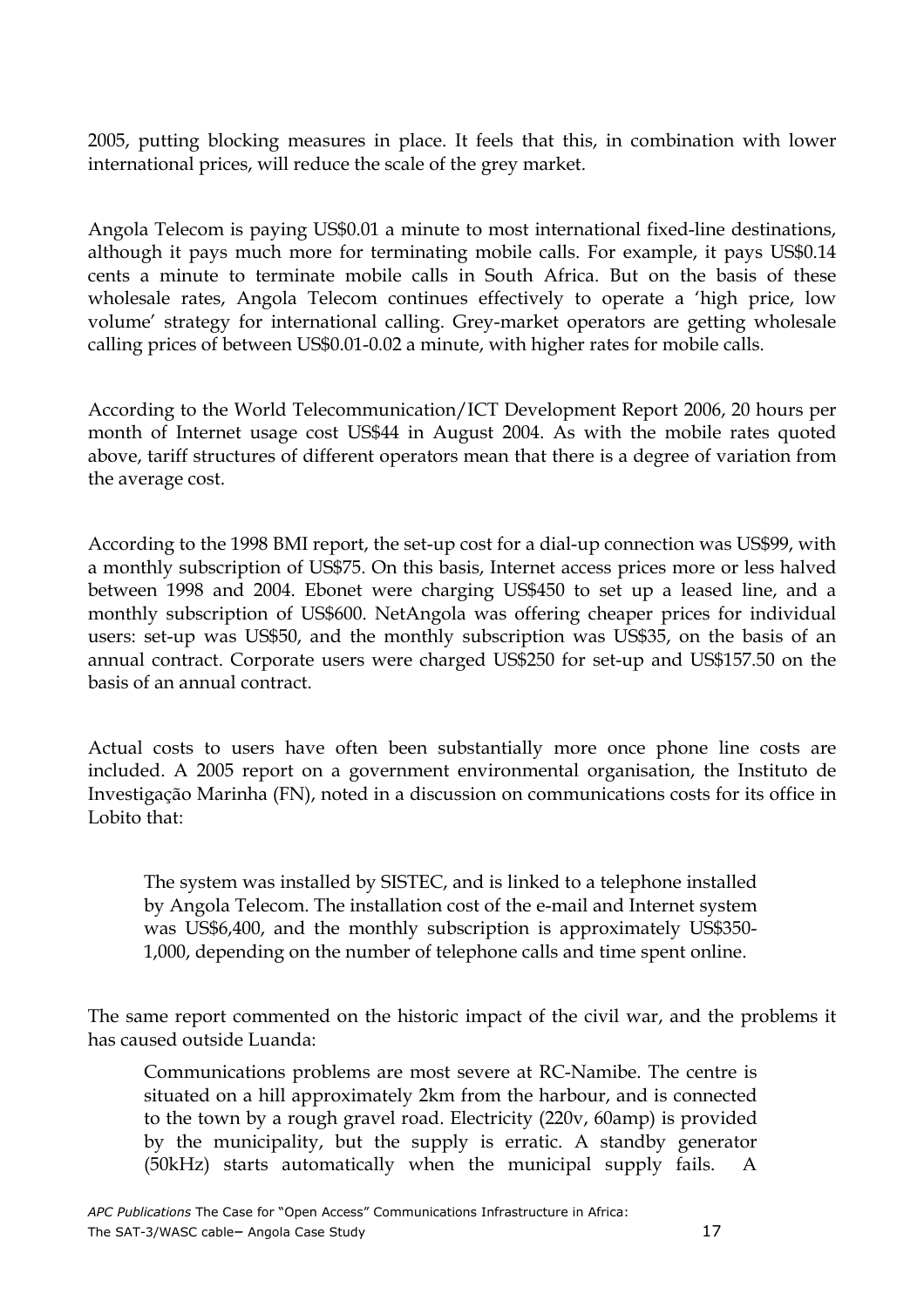2005, putting blocking measures in place. It feels that this, in combination with lower international prices, will reduce the scale of the grey market.

Angola Telecom is paying US\$0.01 a minute to most international fixed-line destinations, although it pays much more for terminating mobile calls. For example, it pays US\$0.14 cents a minute to terminate mobile calls in South Africa. But on the basis of these wholesale rates, Angola Telecom continues effectively to operate a 'high price, low volume' strategy for international calling. Grey-market operators are getting wholesale calling prices of between US\$0.01-0.02 a minute, with higher rates for mobile calls.

According to the World Telecommunication/ICT Development Report 2006, 20 hours per month of Internet usage cost US\$44 in August 2004. As with the mobile rates quoted above, tariff structures of different operators mean that there is a degree of variation from the average cost.

According to the 1998 BMI report, the set-up cost for a dial-up connection was US\$99, with a monthly subscription of US\$75. On this basis, Internet access prices more or less halved between 1998 and 2004. Ebonet were charging US\$450 to set up a leased line, and a monthly subscription of US\$600. NetAngola was offering cheaper prices for individual users: set-up was US\$50, and the monthly subscription was US\$35, on the basis of an annual contract. Corporate users were charged US\$250 for set-up and US\$157.50 on the basis of an annual contract.

Actual costs to users have often been substantially more once phone line costs are included. A 2005 report on a government environmental organisation, the Instituto de Investigação Marinha (FN), noted in a discussion on communications costs for its office in Lobito that:

The system was installed by SISTEC, and is linked to a telephone installed by Angola Telecom. The installation cost of the e-mail and Internet system was US\$6,400, and the monthly subscription is approximately US\$350- 1,000, depending on the number of telephone calls and time spent online.

The same report commented on the historic impact of the civil war, and the problems it has caused outside Luanda:

Communications problems are most severe at RC-Namibe. The centre is situated on a hill approximately 2km from the harbour, and is connected to the town by a rough gravel road. Electricity (220v, 60amp) is provided by the municipality, but the supply is erratic. A standby generator (50kHz) starts automatically when the municipal supply fails.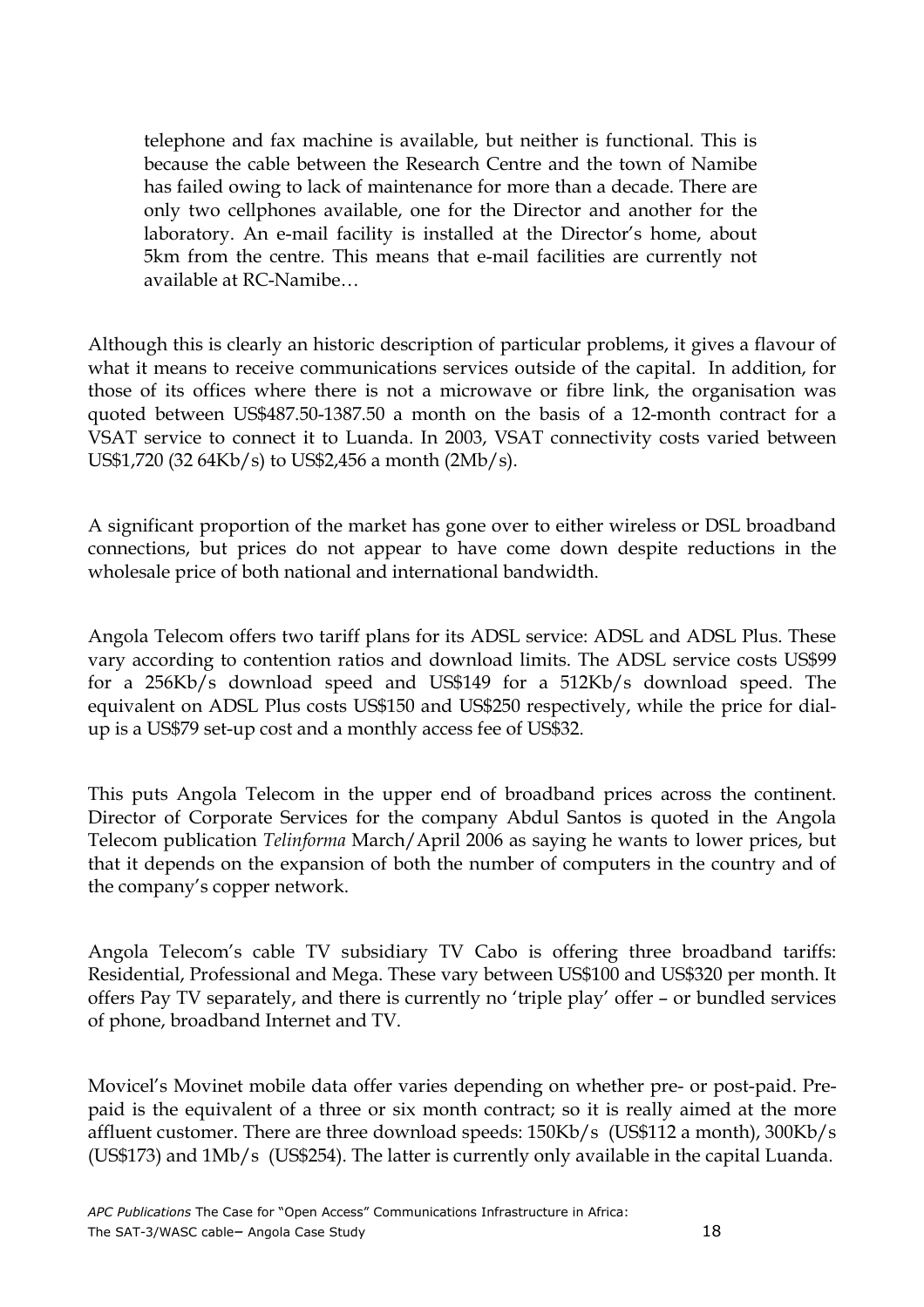telephone and fax machine is available, but neither is functional. This is because the cable between the Research Centre and the town of Namibe has failed owing to lack of maintenance for more than a decade. There are only two cellphones available, one for the Director and another for the laboratory. An e-mail facility is installed at the Director's home, about 5km from the centre. This means that e-mail facilities are currently not available at RC-Namibe…

Although this is clearly an historic description of particular problems, it gives a flavour of what it means to receive communications services outside of the capital. In addition, for those of its offices where there is not a microwave or fibre link, the organisation was quoted between US\$487.50-1387.50 a month on the basis of a 12-month contract for a VSAT service to connect it to Luanda. In 2003, VSAT connectivity costs varied between US\$1,720 (32 64Kb/s) to US\$2,456 a month (2Mb/s).

A significant proportion of the market has gone over to either wireless or DSL broadband connections, but prices do not appear to have come down despite reductions in the wholesale price of both national and international bandwidth.

Angola Telecom offers two tariff plans for its ADSL service: ADSL and ADSL Plus. These vary according to contention ratios and download limits. The ADSL service costs US\$99 for a 256Kb/s download speed and US\$149 for a 512Kb/s download speed. The equivalent on ADSL Plus costs US\$150 and US\$250 respectively, while the price for dialup is a US\$79 set-up cost and a monthly access fee of US\$32.

This puts Angola Telecom in the upper end of broadband prices across the continent. Director of Corporate Services for the company Abdul Santos is quoted in the Angola Telecom publication Telinforma March/April 2006 as saying he wants to lower prices, but that it depends on the expansion of both the number of computers in the country and of the company's copper network.

Angola Telecom's cable TV subsidiary TV Cabo is offering three broadband tariffs: Residential, Professional and Mega. These vary between US\$100 and US\$320 per month. It offers Pay TV separately, and there is currently no 'triple play' offer – or bundled services of phone, broadband Internet and TV.

Movicel's Movinet mobile data offer varies depending on whether pre- or post-paid. Prepaid is the equivalent of a three or six month contract; so it is really aimed at the more affluent customer. There are three download speeds: 150Kb/s (US\$112 a month), 300Kb/s (US\$173) and 1Mb/s (US\$254). The latter is currently only available in the capital Luanda.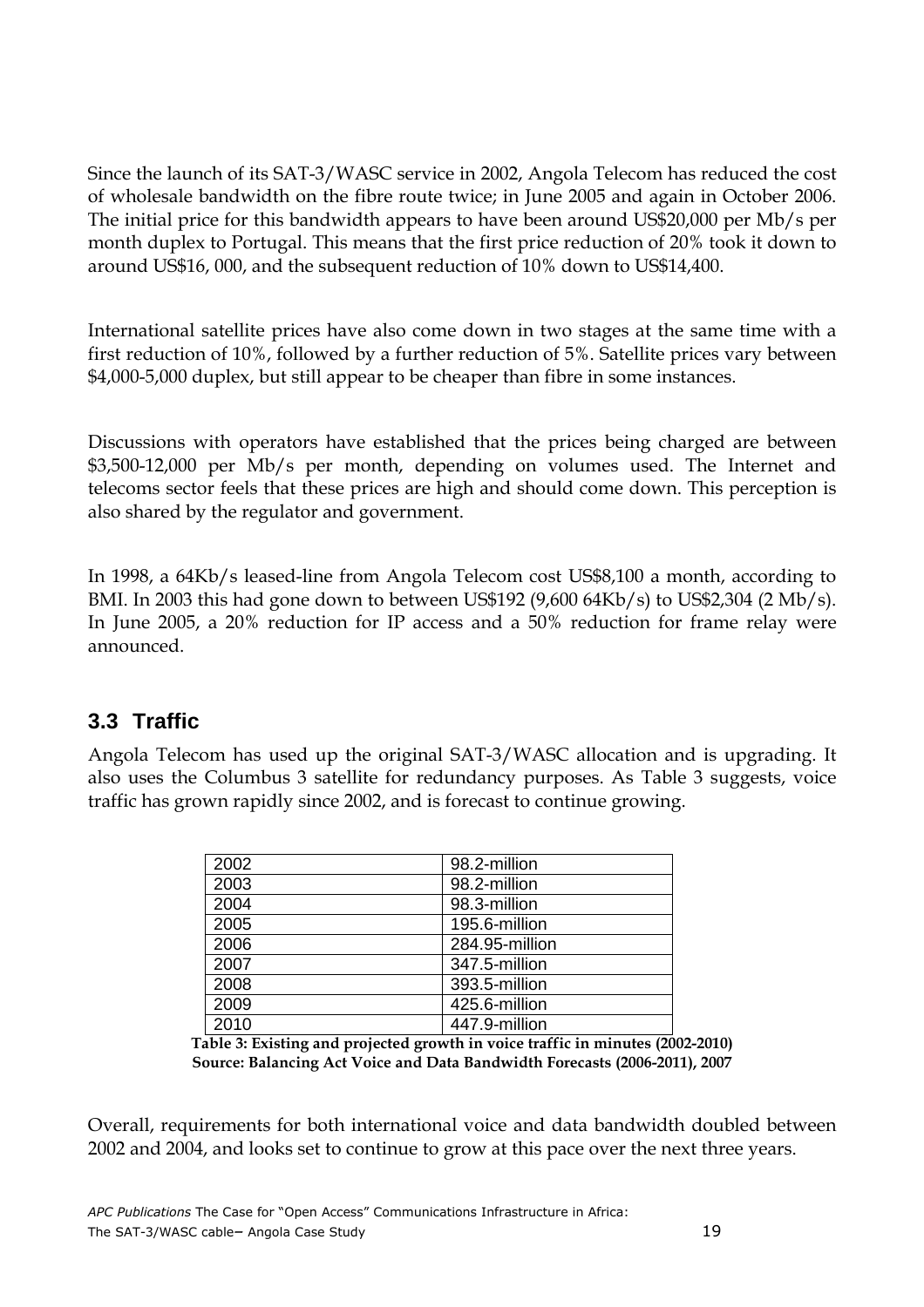Since the launch of its SAT-3/WASC service in 2002, Angola Telecom has reduced the cost of wholesale bandwidth on the fibre route twice; in June 2005 and again in October 2006. The initial price for this bandwidth appears to have been around US\$20,000 per Mb/s per month duplex to Portugal. This means that the first price reduction of 20% took it down to around US\$16, 000, and the subsequent reduction of 10% down to US\$14,400.

International satellite prices have also come down in two stages at the same time with a first reduction of 10%, followed by a further reduction of 5%. Satellite prices vary between \$4,000-5,000 duplex, but still appear to be cheaper than fibre in some instances.

Discussions with operators have established that the prices being charged are between \$3,500-12,000 per Mb/s per month, depending on volumes used. The Internet and telecoms sector feels that these prices are high and should come down. This perception is also shared by the regulator and government.

In 1998, a 64Kb/s leased-line from Angola Telecom cost US\$8,100 a month, according to BMI. In 2003 this had gone down to between US\$192 (9,600 64Kb/s) to US\$2,304 (2 Mb/s). In June 2005, a 20% reduction for IP access and a 50% reduction for frame relay were announced.

### **3.3 Traffic**

Angola Telecom has used up the original SAT-3/WASC allocation and is upgrading. It also uses the Columbus 3 satellite for redundancy purposes. As Table 3 suggests, voice traffic has grown rapidly since 2002, and is forecast to continue growing.

| 2002 | 98.2-million   |
|------|----------------|
| 2003 | 98.2-million   |
| 2004 | 98.3-million   |
| 2005 | 195.6-million  |
| 2006 | 284.95-million |
| 2007 | 347.5-million  |
| 2008 | 393.5-million  |
| 2009 | 425.6-million  |
| 2010 | 447.9-million  |

Table 3: Existing and projected growth in voice traffic in minutes (2002-2010) Source: Balancing Act Voice and Data Bandwidth Forecasts (2006-2011), 2007

Overall, requirements for both international voice and data bandwidth doubled between 2002 and 2004, and looks set to continue to grow at this pace over the next three years.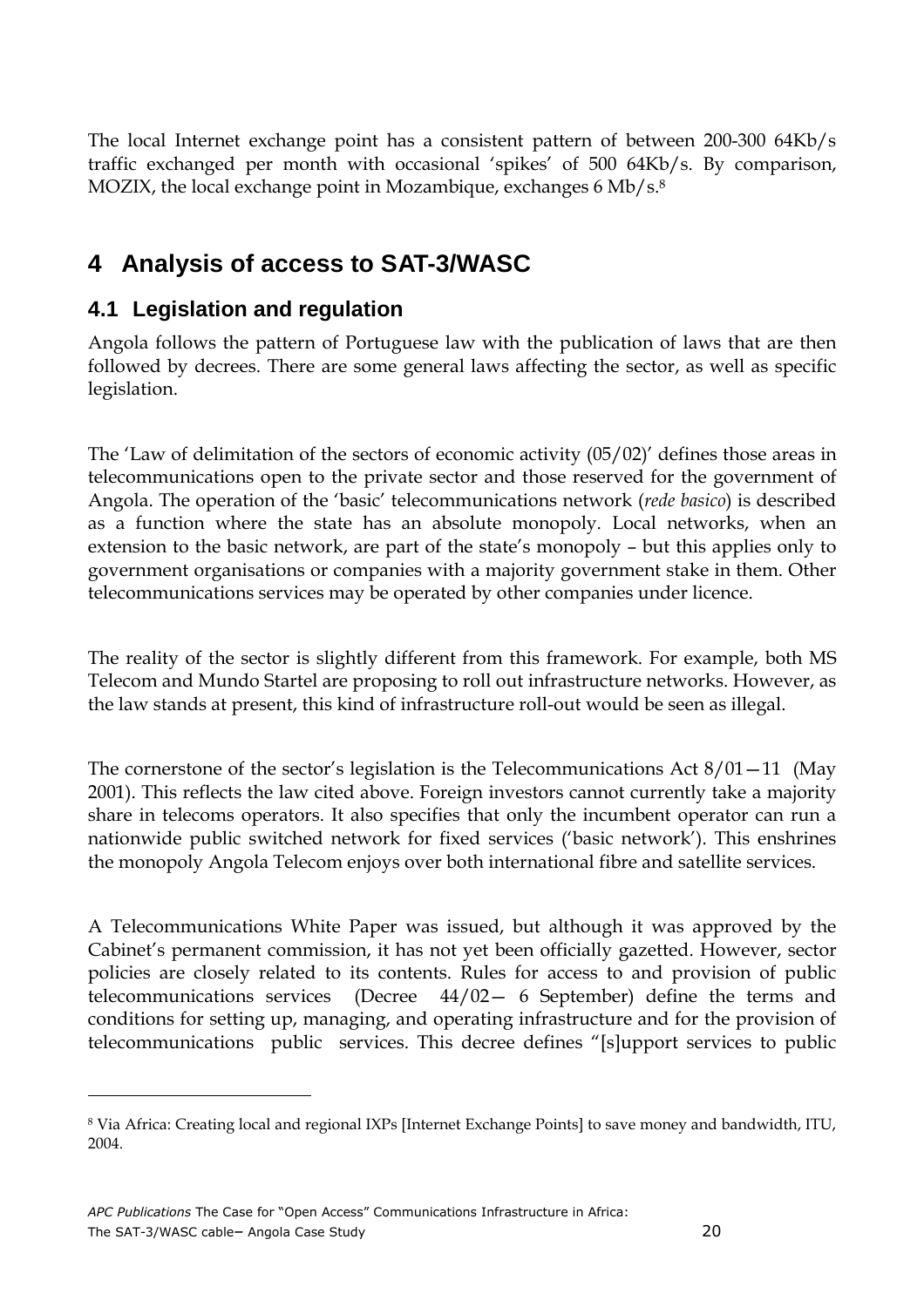The local Internet exchange point has a consistent pattern of between 200-300 64Kb/s traffic exchanged per month with occasional 'spikes' of 500 64Kb/s. By comparison, MOZIX, the local exchange point in Mozambique, exchanges 6 Mb/s.<sup>8</sup>

# **4 Analysis of access to SAT-3/WASC**

## **4.1 Legislation and regulation**

Angola follows the pattern of Portuguese law with the publication of laws that are then followed by decrees. There are some general laws affecting the sector, as well as specific legislation.

The 'Law of delimitation of the sectors of economic activity (05/02)' defines those areas in telecommunications open to the private sector and those reserved for the government of Angola. The operation of the 'basic' telecommunications network (rede basico) is described as a function where the state has an absolute monopoly. Local networks, when an extension to the basic network, are part of the state's monopoly – but this applies only to government organisations or companies with a majority government stake in them. Other telecommunications services may be operated by other companies under licence.

The reality of the sector is slightly different from this framework. For example, both MS Telecom and Mundo Startel are proposing to roll out infrastructure networks. However, as the law stands at present, this kind of infrastructure roll-out would be seen as illegal.

The cornerstone of the sector's legislation is the Telecommunications Act  $8/01-11$  (May 2001). This reflects the law cited above. Foreign investors cannot currently take a majority share in telecoms operators. It also specifies that only the incumbent operator can run a nationwide public switched network for fixed services ('basic network'). This enshrines the monopoly Angola Telecom enjoys over both international fibre and satellite services.

A Telecommunications White Paper was issued, but although it was approved by the Cabinet's permanent commission, it has not yet been officially gazetted. However, sector policies are closely related to its contents. Rules for access to and provision of public telecommunications services (Decree 44/02— 6 September) define the terms and conditions for setting up, managing, and operating infrastructure and for the provision of telecommunications public services. This decree defines "[s]upport services to public

 $\overline{a}$ 

 $^8$  Via Africa: Creating local and regional IXPs [Internet Exchange Points] to save money and bandwidth, ITU,  $\,$ 2004.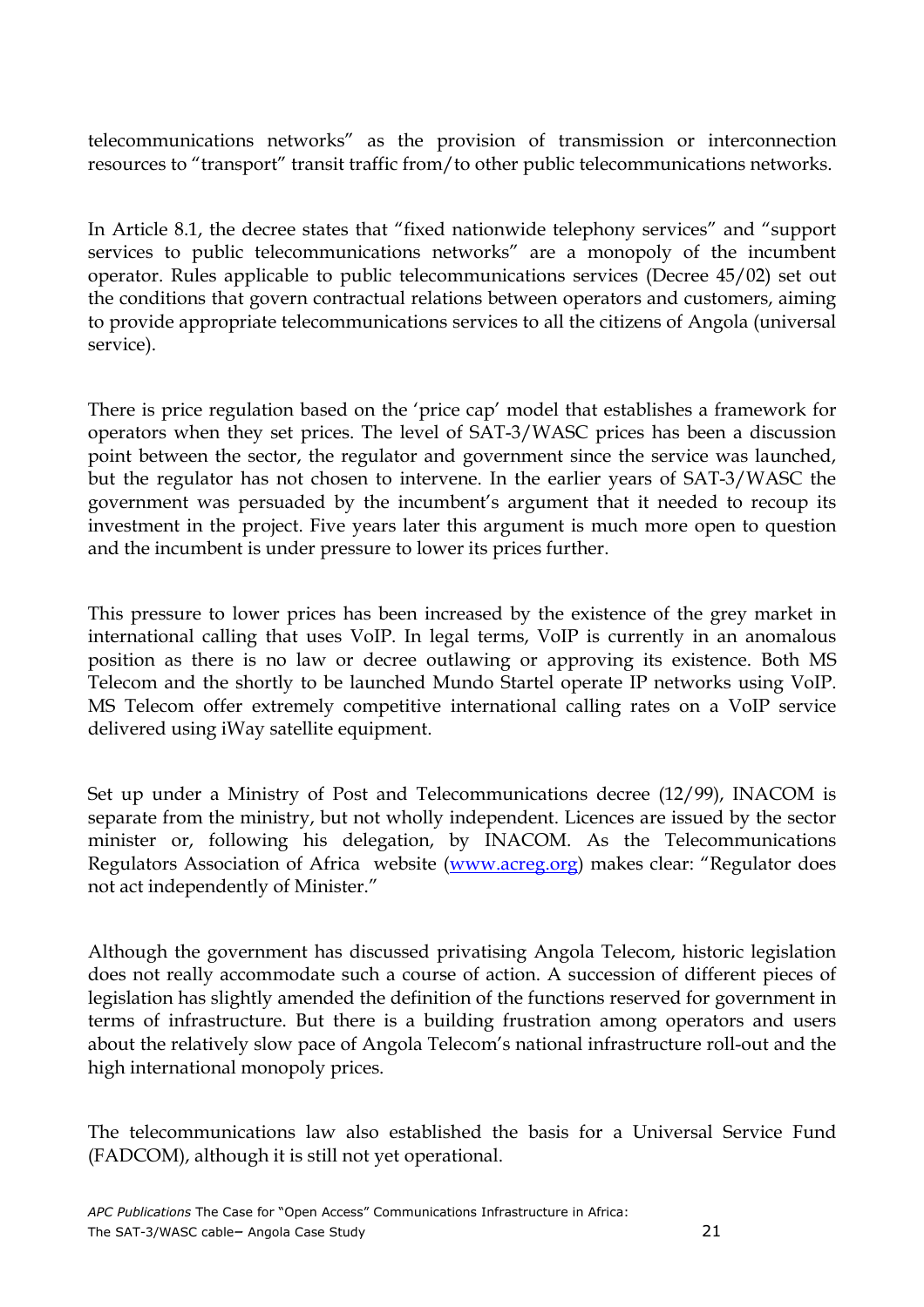telecommunications networks" as the provision of transmission or interconnection resources to "transport" transit traffic from/to other public telecommunications networks.

In Article 8.1, the decree states that "fixed nationwide telephony services" and "support services to public telecommunications networks" are a monopoly of the incumbent operator. Rules applicable to public telecommunications services (Decree 45/02) set out the conditions that govern contractual relations between operators and customers, aiming to provide appropriate telecommunications services to all the citizens of Angola (universal service).

There is price regulation based on the 'price cap' model that establishes a framework for operators when they set prices. The level of SAT-3/WASC prices has been a discussion point between the sector, the regulator and government since the service was launched, but the regulator has not chosen to intervene. In the earlier years of SAT-3/WASC the government was persuaded by the incumbent's argument that it needed to recoup its investment in the project. Five years later this argument is much more open to question and the incumbent is under pressure to lower its prices further.

This pressure to lower prices has been increased by the existence of the grey market in international calling that uses VoIP. In legal terms, VoIP is currently in an anomalous position as there is no law or decree outlawing or approving its existence. Both MS Telecom and the shortly to be launched Mundo Startel operate IP networks using VoIP. MS Telecom offer extremely competitive international calling rates on a VoIP service delivered using iWay satellite equipment.

Set up under a Ministry of Post and Telecommunications decree (12/99), INACOM is separate from the ministry, but not wholly independent. Licences are issued by the sector minister or, following his delegation, by INACOM. As the Telecommunications Regulators Association of Africa website (www.acreg.org) makes clear: "Regulator does not act independently of Minister."

Although the government has discussed privatising Angola Telecom, historic legislation does not really accommodate such a course of action. A succession of different pieces of legislation has slightly amended the definition of the functions reserved for government in terms of infrastructure. But there is a building frustration among operators and users about the relatively slow pace of Angola Telecom's national infrastructure roll-out and the high international monopoly prices.

The telecommunications law also established the basis for a Universal Service Fund (FADCOM), although it is still not yet operational.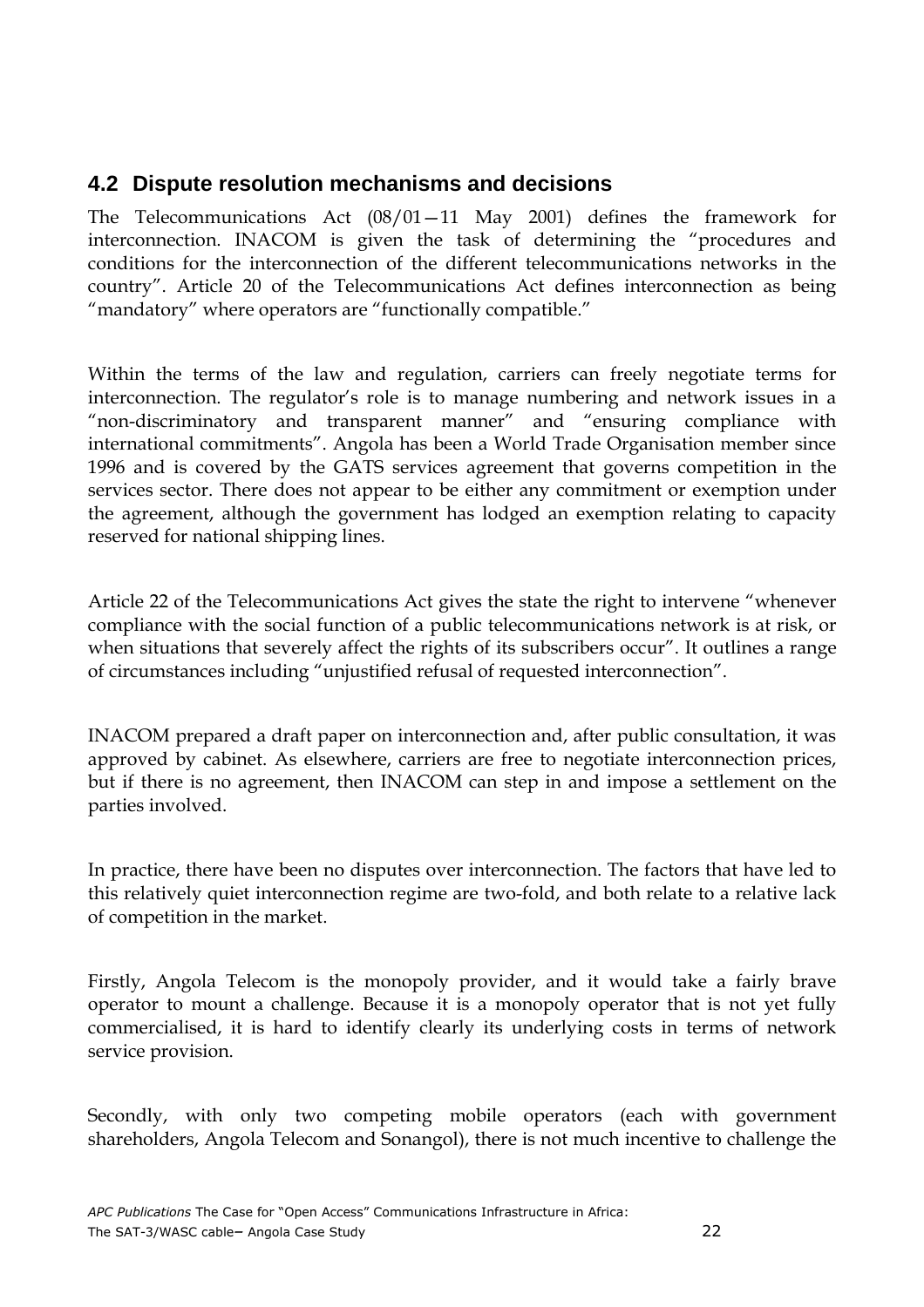### **4.2 Dispute resolution mechanisms and decisions**

The Telecommunications Act (08/01—11 May 2001) defines the framework for interconnection. INACOM is given the task of determining the "procedures and conditions for the interconnection of the different telecommunications networks in the country". Article 20 of the Telecommunications Act defines interconnection as being "mandatory" where operators are "functionally compatible."

Within the terms of the law and regulation, carriers can freely negotiate terms for interconnection. The regulator's role is to manage numbering and network issues in a "non-discriminatory and transparent manner" and "ensuring compliance with international commitments". Angola has been a World Trade Organisation member since 1996 and is covered by the GATS services agreement that governs competition in the services sector. There does not appear to be either any commitment or exemption under the agreement, although the government has lodged an exemption relating to capacity reserved for national shipping lines.

Article 22 of the Telecommunications Act gives the state the right to intervene "whenever compliance with the social function of a public telecommunications network is at risk, or when situations that severely affect the rights of its subscribers occur". It outlines a range of circumstances including "unjustified refusal of requested interconnection".

INACOM prepared a draft paper on interconnection and, after public consultation, it was approved by cabinet. As elsewhere, carriers are free to negotiate interconnection prices, but if there is no agreement, then INACOM can step in and impose a settlement on the parties involved.

In practice, there have been no disputes over interconnection. The factors that have led to this relatively quiet interconnection regime are two-fold, and both relate to a relative lack of competition in the market.

Firstly, Angola Telecom is the monopoly provider, and it would take a fairly brave operator to mount a challenge. Because it is a monopoly operator that is not yet fully commercialised, it is hard to identify clearly its underlying costs in terms of network service provision.

Secondly, with only two competing mobile operators (each with government shareholders, Angola Telecom and Sonangol), there is not much incentive to challenge the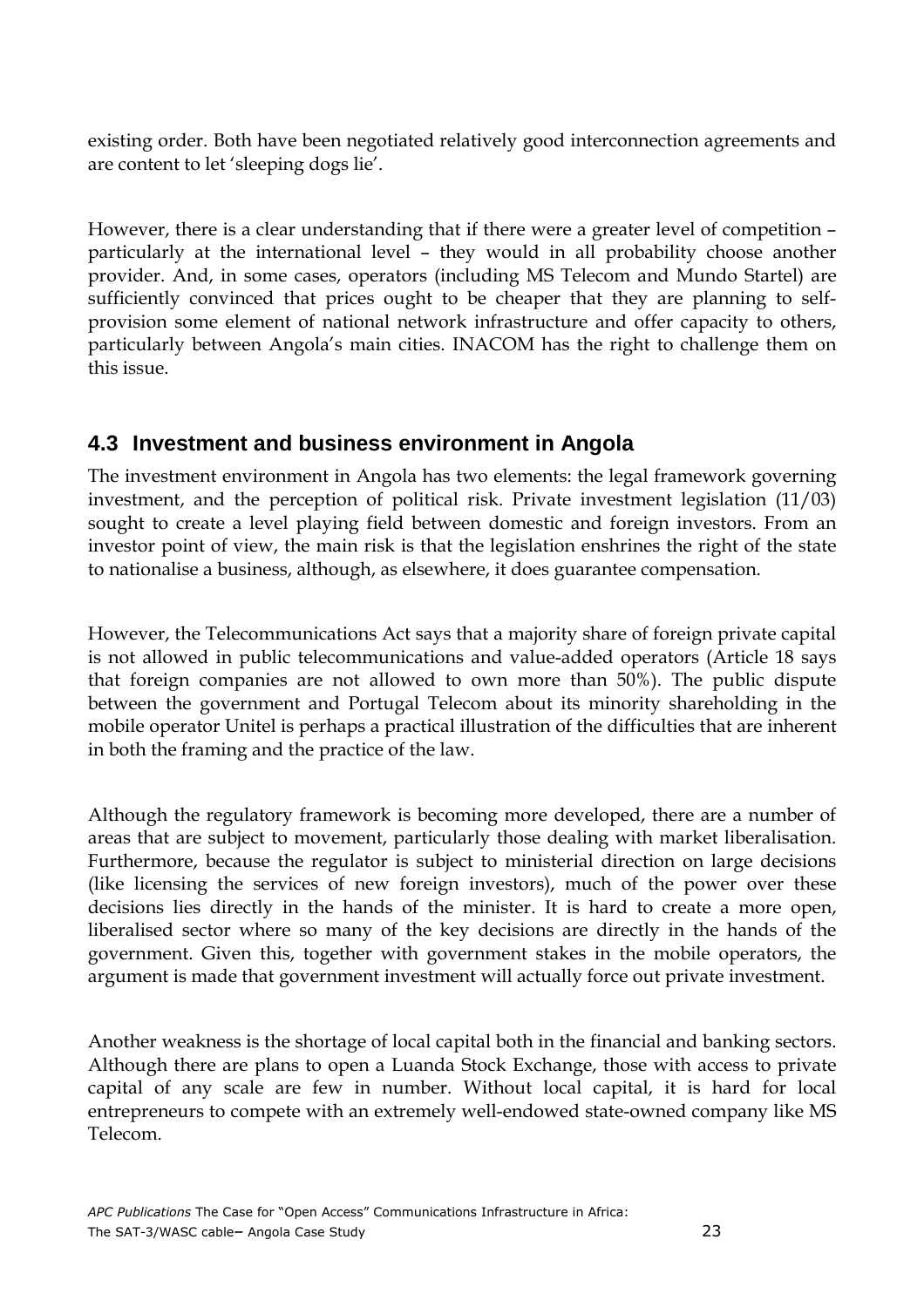existing order. Both have been negotiated relatively good interconnection agreements and are content to let 'sleeping dogs lie'.

However, there is a clear understanding that if there were a greater level of competition – particularly at the international level – they would in all probability choose another provider. And, in some cases, operators (including MS Telecom and Mundo Startel) are sufficiently convinced that prices ought to be cheaper that they are planning to selfprovision some element of national network infrastructure and offer capacity to others, particularly between Angola's main cities. INACOM has the right to challenge them on this issue.

## **4.3 Investment and business environment in Angola**

The investment environment in Angola has two elements: the legal framework governing investment, and the perception of political risk. Private investment legislation (11/03) sought to create a level playing field between domestic and foreign investors. From an investor point of view, the main risk is that the legislation enshrines the right of the state to nationalise a business, although, as elsewhere, it does guarantee compensation.

However, the Telecommunications Act says that a majority share of foreign private capital is not allowed in public telecommunications and value-added operators (Article 18 says that foreign companies are not allowed to own more than 50%). The public dispute between the government and Portugal Telecom about its minority shareholding in the mobile operator Unitel is perhaps a practical illustration of the difficulties that are inherent in both the framing and the practice of the law.

Although the regulatory framework is becoming more developed, there are a number of areas that are subject to movement, particularly those dealing with market liberalisation. Furthermore, because the regulator is subject to ministerial direction on large decisions (like licensing the services of new foreign investors), much of the power over these decisions lies directly in the hands of the minister. It is hard to create a more open, liberalised sector where so many of the key decisions are directly in the hands of the government. Given this, together with government stakes in the mobile operators, the argument is made that government investment will actually force out private investment.

Another weakness is the shortage of local capital both in the financial and banking sectors. Although there are plans to open a Luanda Stock Exchange, those with access to private capital of any scale are few in number. Without local capital, it is hard for local entrepreneurs to compete with an extremely well-endowed state-owned company like MS Telecom.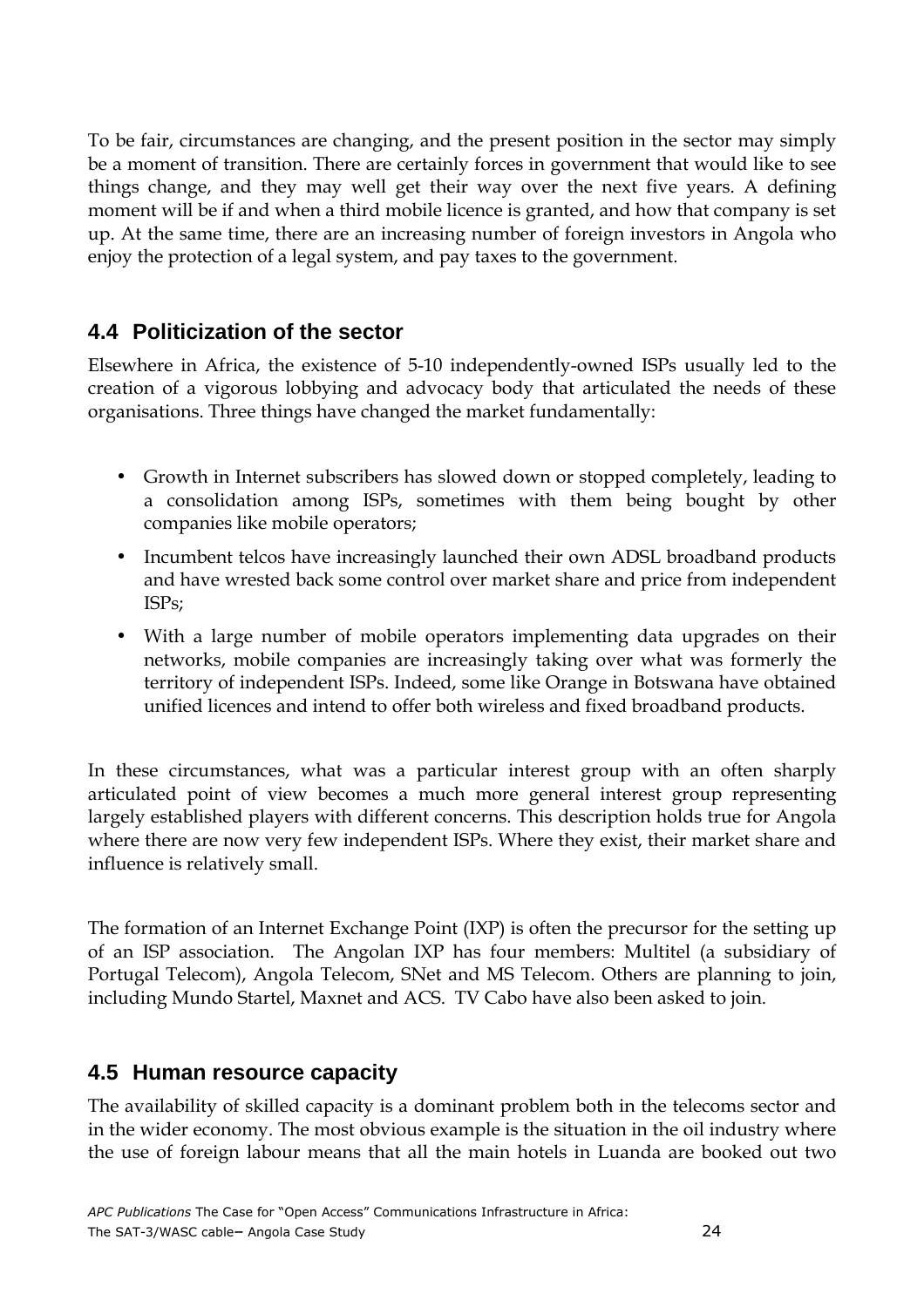To be fair, circumstances are changing, and the present position in the sector may simply be a moment of transition. There are certainly forces in government that would like to see things change, and they may well get their way over the next five years. A defining moment will be if and when a third mobile licence is granted, and how that company is set up. At the same time, there are an increasing number of foreign investors in Angola who enjoy the protection of a legal system, and pay taxes to the government.

## **4.4 Politicization of the sector**

Elsewhere in Africa, the existence of 5-10 independently-owned ISPs usually led to the creation of a vigorous lobbying and advocacy body that articulated the needs of these organisations. Three things have changed the market fundamentally:

- Growth in Internet subscribers has slowed down or stopped completely, leading to a consolidation among ISPs, sometimes with them being bought by other companies like mobile operators;
- Incumbent telcos have increasingly launched their own ADSL broadband products and have wrested back some control over market share and price from independent ISPs;
- With a large number of mobile operators implementing data upgrades on their networks, mobile companies are increasingly taking over what was formerly the territory of independent ISPs. Indeed, some like Orange in Botswana have obtained unified licences and intend to offer both wireless and fixed broadband products.

In these circumstances, what was a particular interest group with an often sharply articulated point of view becomes a much more general interest group representing largely established players with different concerns. This description holds true for Angola where there are now very few independent ISPs. Where they exist, their market share and influence is relatively small.

The formation of an Internet Exchange Point (IXP) is often the precursor for the setting up of an ISP association. The Angolan IXP has four members: Multitel (a subsidiary of Portugal Telecom), Angola Telecom, SNet and MS Telecom. Others are planning to join, including Mundo Startel, Maxnet and ACS. TV Cabo have also been asked to join.

### **4.5 Human resource capacity**

The availability of skilled capacity is a dominant problem both in the telecoms sector and in the wider economy. The most obvious example is the situation in the oil industry where the use of foreign labour means that all the main hotels in Luanda are booked out two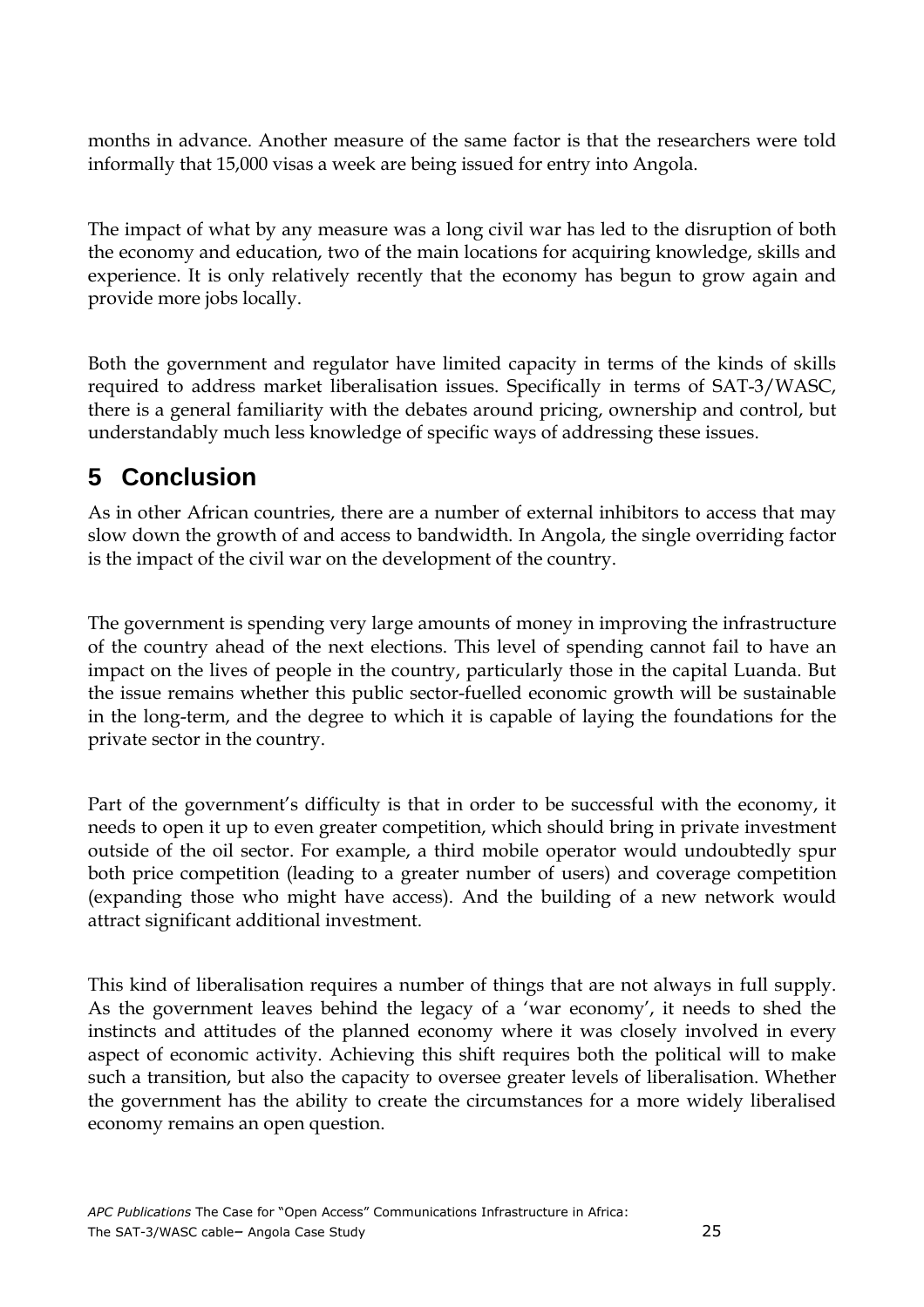months in advance. Another measure of the same factor is that the researchers were told informally that 15,000 visas a week are being issued for entry into Angola.

The impact of what by any measure was a long civil war has led to the disruption of both the economy and education, two of the main locations for acquiring knowledge, skills and experience. It is only relatively recently that the economy has begun to grow again and provide more jobs locally.

Both the government and regulator have limited capacity in terms of the kinds of skills required to address market liberalisation issues. Specifically in terms of SAT-3/WASC, there is a general familiarity with the debates around pricing, ownership and control, but understandably much less knowledge of specific ways of addressing these issues.

# **5 Conclusion**

As in other African countries, there are a number of external inhibitors to access that may slow down the growth of and access to bandwidth. In Angola, the single overriding factor is the impact of the civil war on the development of the country.

The government is spending very large amounts of money in improving the infrastructure of the country ahead of the next elections. This level of spending cannot fail to have an impact on the lives of people in the country, particularly those in the capital Luanda. But the issue remains whether this public sector-fuelled economic growth will be sustainable in the long-term, and the degree to which it is capable of laying the foundations for the private sector in the country.

Part of the government's difficulty is that in order to be successful with the economy, it needs to open it up to even greater competition, which should bring in private investment outside of the oil sector. For example, a third mobile operator would undoubtedly spur both price competition (leading to a greater number of users) and coverage competition (expanding those who might have access). And the building of a new network would attract significant additional investment.

This kind of liberalisation requires a number of things that are not always in full supply. As the government leaves behind the legacy of a 'war economy', it needs to shed the instincts and attitudes of the planned economy where it was closely involved in every aspect of economic activity. Achieving this shift requires both the political will to make such a transition, but also the capacity to oversee greater levels of liberalisation. Whether the government has the ability to create the circumstances for a more widely liberalised economy remains an open question.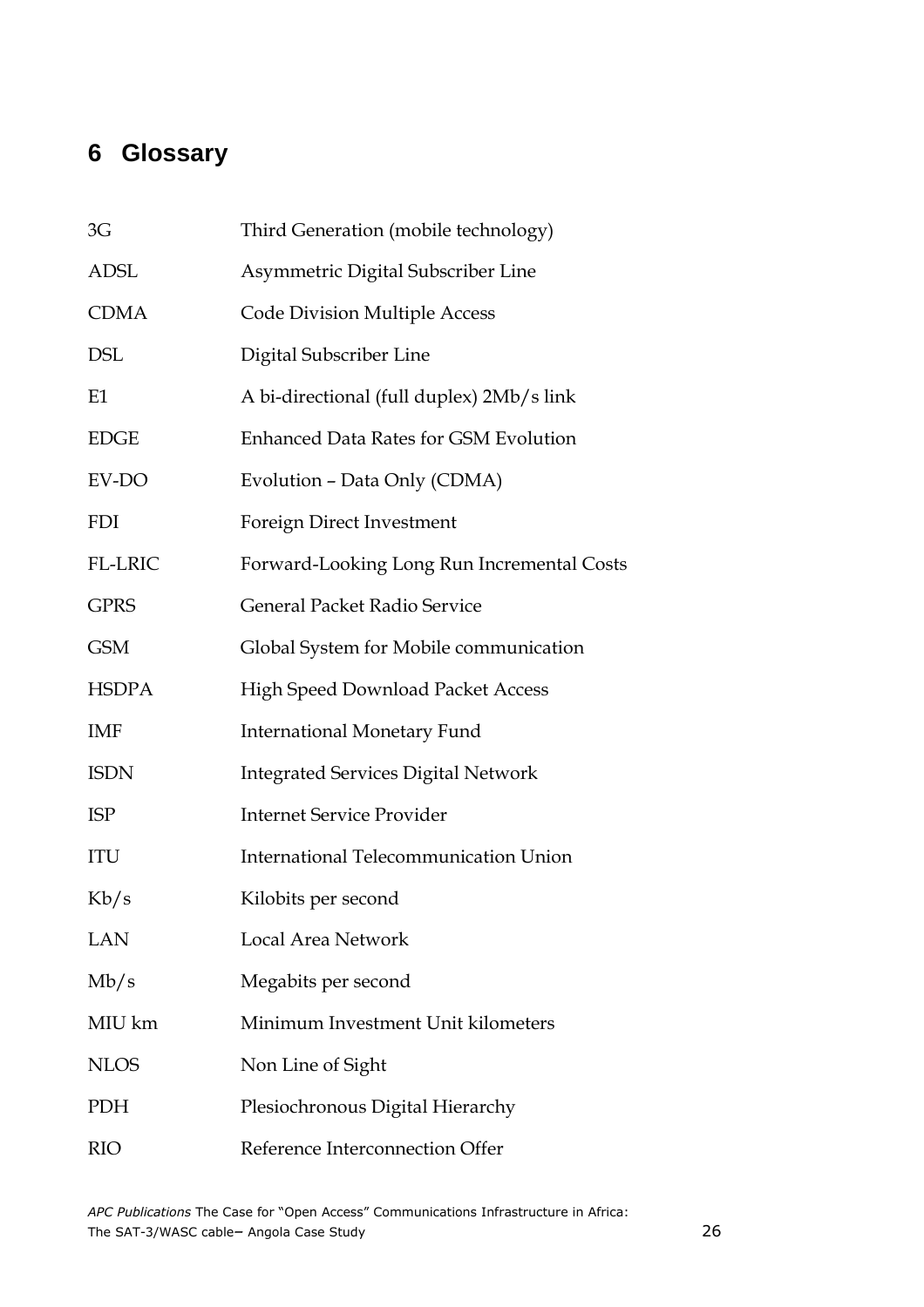# **6 Glossary**

| 3G             | Third Generation (mobile technology)         |
|----------------|----------------------------------------------|
| <b>ADSL</b>    | Asymmetric Digital Subscriber Line           |
| <b>CDMA</b>    | <b>Code Division Multiple Access</b>         |
| <b>DSL</b>     | Digital Subscriber Line                      |
| E1             | A bi-directional (full duplex) 2Mb/s link    |
| <b>EDGE</b>    | <b>Enhanced Data Rates for GSM Evolution</b> |
| EV-DO          | Evolution - Data Only (CDMA)                 |
| <b>FDI</b>     | Foreign Direct Investment                    |
| <b>FL-LRIC</b> | Forward-Looking Long Run Incremental Costs   |
| <b>GPRS</b>    | General Packet Radio Service                 |
| <b>GSM</b>     | Global System for Mobile communication       |
| <b>HSDPA</b>   | <b>High Speed Download Packet Access</b>     |
| IMF            | <b>International Monetary Fund</b>           |
| <b>ISDN</b>    | <b>Integrated Services Digital Network</b>   |
| <b>ISP</b>     | <b>Internet Service Provider</b>             |
| ITU            | International Telecommunication Union        |
| Kb/s           | Kilobits per second                          |
| <b>LAN</b>     | Local Area Network                           |
| Mb/s           | Megabits per second                          |
| MIU km         | Minimum Investment Unit kilometers           |
| <b>NLOS</b>    | Non Line of Sight                            |
| <b>PDH</b>     | Plesiochronous Digital Hierarchy             |
| <b>RIO</b>     | Reference Interconnection Offer              |